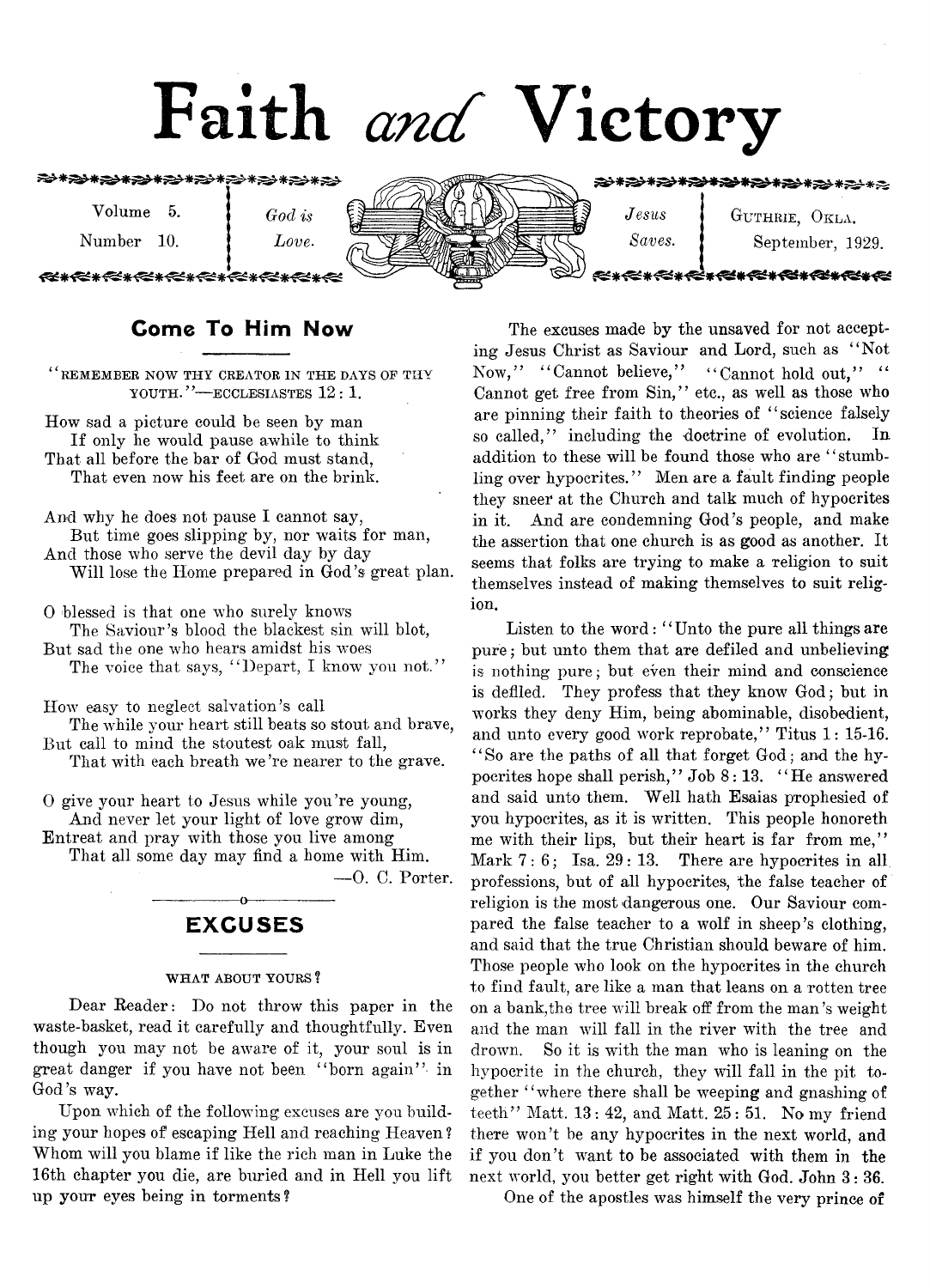# Faith *and* Victory

Volume 5.

ALLALLACLACLA

*God is*

Number 10.

*Love*.



 $Jesus$   $J$  GUTHRIE, OKLA. *Saves.* **September**, 1929.

<del>、◇★◇★◇★◇★◇★◇★◇</del>★

€\*√€\*★€\*★€≠★€≠★€≠★€≠★€≠

# **Come To Him Now**

 $``$  REMEMBER NOW THY CREATOR IN THE DAYS OF THY YOUTH."-ECCLESIASTES 12: 1.

How sad a picture could be seen by man If only he would pause awhile to think That all before the bar of God must stand, That even now his feet are on the brink.

And why he does not pause I cannot say, But time goes slipping by, nor waits for man, And those who serve the devil day by day Will lose the Home prepared in God's great plan.

0 blessed is that one who surely knows The Saviour's blood the blackest sin will blot, But sad the one who hears amidst his woes

The voice that says, "Depart, I know you not."

How easy to neglect salvation's call

The while your heart still beats so stout and brave, But call to mind the stoutest oak must fall, That with each breath we 're nearer to the grave.

0 give your heart to Jesus while you're young, And never let your light of love grow dim, Entreat and pray with those you live among

That all some day may find a home with Him.

 $-0.$  C. Porter.

# -----------------o----------------- **EXCUSES**

#### WHAT ABOUT YOURS?

Dear Reader: Do not throw this paper in the waste-basket, read it carefully and thoughtfully. Even though you may not be aware of it, your soul is in great danger if you have not been " born again" in God's way.

Upon which of the following excuses are you building your hopes of escaping Hell and reaching Heaven ? Whom will you blame if like the rich man in Luke the 16th chapter you die, are buried and in Hell you lift up your eyes being in torments ?

The excuses made by the unsaved for not accepting Jesus Christ as Saviour and Lord, such as " Not Now," "Cannot believe," "Cannot hold out," " Cannot get free from Sin," etc., as well as those who are pinning their faith to theories of "science falsely so called," including the doctrine of evolution. addition to these will be found those who are "stumbling over hypocrites." Men are a fault finding people they sneer at the Church and talk much of hypocrites in it. And are condemning God's people, and make the assertion that one church is as good as another. It seems that folks are trying to make a religion to suit themselves instead of making themselves to suit religion.

Listen to the word: "Unto the pure all things are pure; but unto them that are defiled and unbelieving is nothing pure; but even their mind and conscience is defiled. They profess that they know God; but in works they deny Him, being abominable, disobedient, and unto every good work reprobate," Titus 1: 15-16. ' ' So are the paths of all that forget God; and the hypocrites hope shall perish," Job 8:13. " He answered and said unto them. Well hath Esaias prophesied of you hypocrites, as it is written. This people honoreth me with their lips, but their heart is far from me," Mark  $7:6$ ; Isa.  $29:13$ . There are hypocrites in all professions, but of all hypocrites, the false teacher of religion is the most dangerous one. Our Saviour compared the false teacher to a wolf in sheep's clothing, and said that the true Christian should beware of him. Those people who look on the hypocrites in the church to find fault, are like a man that leans on a rotten tree on a bank,the tree will break off from the man's weight and the man will fall in the river with the tree and drown. So it is with the man who is leaning on the hypocrite in the church, they will fall in the pit together " where there shall be weeping and gnashing of teeth" Matt. 13 : 42, and Matt. 25: 51. No my friend there won't be any hypocrites in the next world, and if you don't want to be associated with them in the next world, you better get right with God. John 3: 36.

One of the apostles was himself the very prince of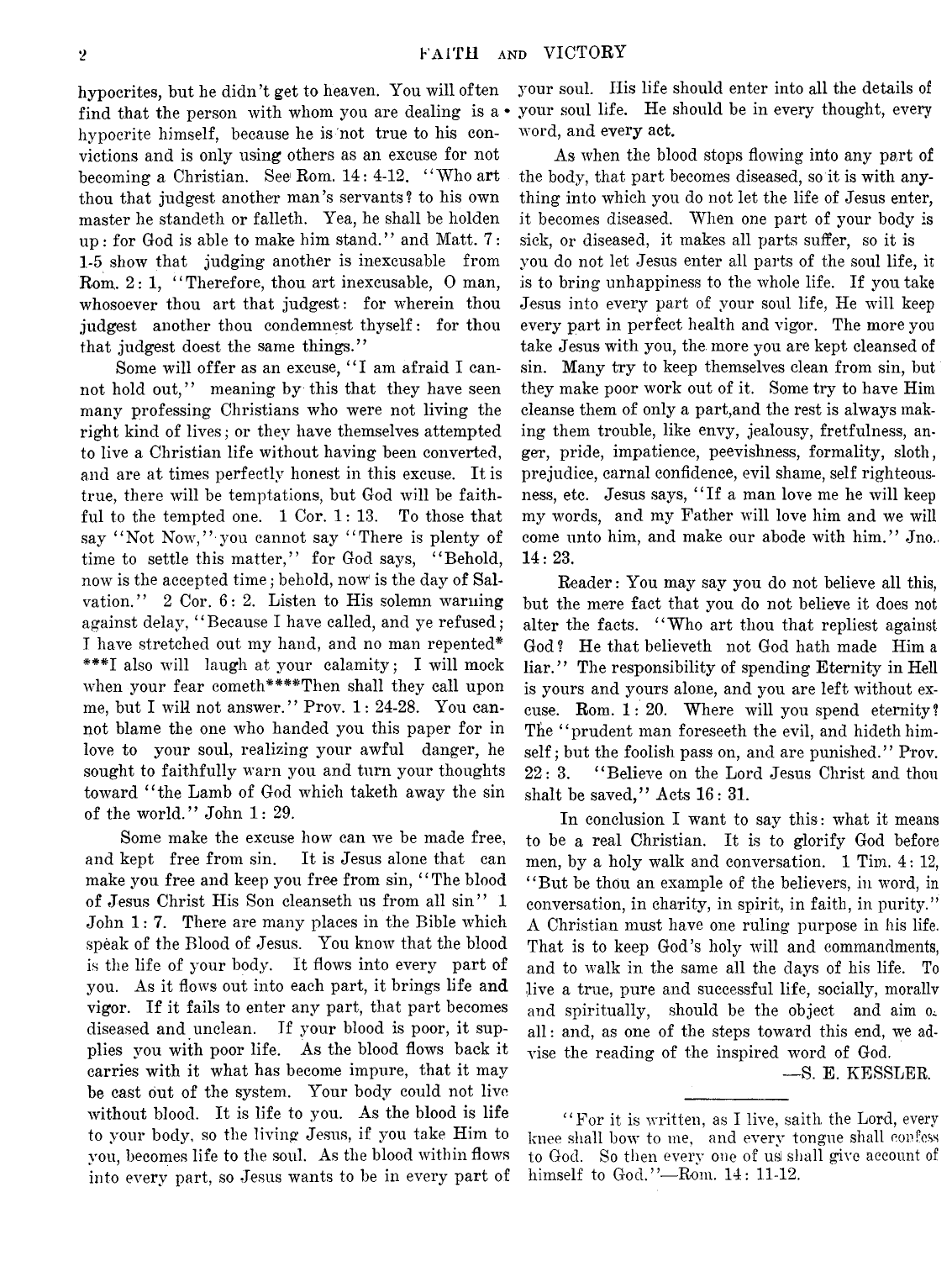hypocrites, but he didn't get to heaven. Yon will often find that the person with whom you are dealing is  $a \cdot$ hypocrite himself, because he is not true to his convictions and is only using others as an excuse for not becoming a Christian. See Rom.  $14: 4-12$ . "Who art thou that judgest another man's servants? to his own master he standeth or falleth. Yea, he shall be holden up : for God is able to make him stand." and Matt.  $7:$ 1-5 show that judging another is inexcusable from Rom.  $2:1$ , "Therefore, thou art inexcusable, O man, whosoever thou art that judgest: for wherein thou judgest another thou condemnest thyself: for thou that judgest doest the same things."

Some will offer as an excuse, "I am afraid I cannot hold out," meaning by this that they have seen many professing Christians who were not living the right kind of lives; or they have themselves attempted to live a Christian life without having been converted, and are at times perfectly honest in this excuse. It is true, there will be temptations, but God will be faithful to the tempted one. 1 Cor. 1: 13. To those that say "Not Now," you cannot say "There is plenty of time to settle this matter," for God says, "Behold, now is the accepted time; behold, now is the day of Salvation." 2 Cor. 6: 2. Listen to His solemn warning against delay, "Because I have called, and ye refused; I have stretched out my hand, and no man repented\* \*\*\*I also will laugh at your calamity; I will mock when your fear cometh\*\*\*\*Then shall they call upon me, but I will not answer." Prov. 1: 24-28. You cannot blame the one who handed you this paper for in love to your soul, realizing your awful danger, he sought to faithfully warn you and turn your thoughts toward "the Lamb of God which taketh away the sin of the world." John 1: 29.

Some make the excuse how can we be made free, and kept free from sin. It is Jesus alone that can make you free and keep you free from sin, "The blood of Jesus Christ His Son cleanseth us from all sin" 1 John 1: 7. There are many places in the Bible which speak of the Blood of Jesus. You know that the blood is the life of your body. It flows into every part of you. As it flows out into each part, it brings life and vigor. If it fails to enter any part, that part becomes diseased and unclean. If your blood is poor, it supplies you with poor life. As the blood flows back it carries with it what has become impure, that it may be cast out of the system. Your body could not live without blood. It is life to you. As the blood is life to your body, so the living Jesus, if you take Him to you, becomes life to the soul. As the blood within flows into every part, so Jesus wants to be in every part of

your soul. His life should enter into all the details of your soul life. He should be in every thought, every word, and every act.

As when the blood stops flowing into any part of the body, that part becomes diseased, so it is with anything into which you do not let the life of Jesus enter, it becomes diseased. When one part of your body is sick, or diseased, it makes all parts suffer, so it is you do not let Jesus enter all parts of the soul life, it is to bring unhappiness to the whole life. If you take Jesus into every part of your soul life, He will keep every part in perfect health and vigor. The more you take Jesus with you, the more you are kept cleansed of sin. Many try to keep themselves clean from sin, but they make poor work out of it. Some try to have Him cleanse them of only a part,and the rest is always making them trouble, like envy, jealousy, fretfulness, anger, pride, impatience, peevishness, formality, sloth, prejudice, carnal confidence, evil shame, self righteousness, etc. Jesus says, "If a man love me he will keep my words, and my Father will love him and we will come unto him, and make our abode with him." Jno. 14: 23.

Reader: You may say you do not believe all this, but the mere fact that you do not believe it does not alter the facts. "Who art thou that repliest against God ? He that believeth not God hath made Him a liar.'' The responsibility of spending Eternity in Hell is yours and yours alone, and you are left without excuse. Rom. 1: 20. Where will you spend eternity? The "prudent man foreseeth the evil, and hideth himself ; but the foolish pass on, and are punished.'' Prov. 22: 3. " Believe on the Lord Jesus Christ and thou shalt be saved," Acts 16: 31.

In conclusion I want to say this: what it means to be a real Christian. It is to glorify God before men, by a holy walk and conversation. 1 Tim. 4: 12, " But be thou an example of the believers, in word, in conversation, in charity, in spirit, in faith, in purity." A Christian must have one ruling purpose in his life. That is to keep God's holy will and commandments, and to walk in the same all the days of his life. To live a true, pure and successful life, socially, morallv and spiritually, should be the object and aim all: and, as one of the steps toward this end, we advise the reading of the inspired word of God.

— S. E. KESSLER.

" For it is written, as I live, saith the Lord, every knee shall bow to me, and every tongue shall confess to God. So then every one of usi shall give account of himself to God."—Rom. 14: 11-12.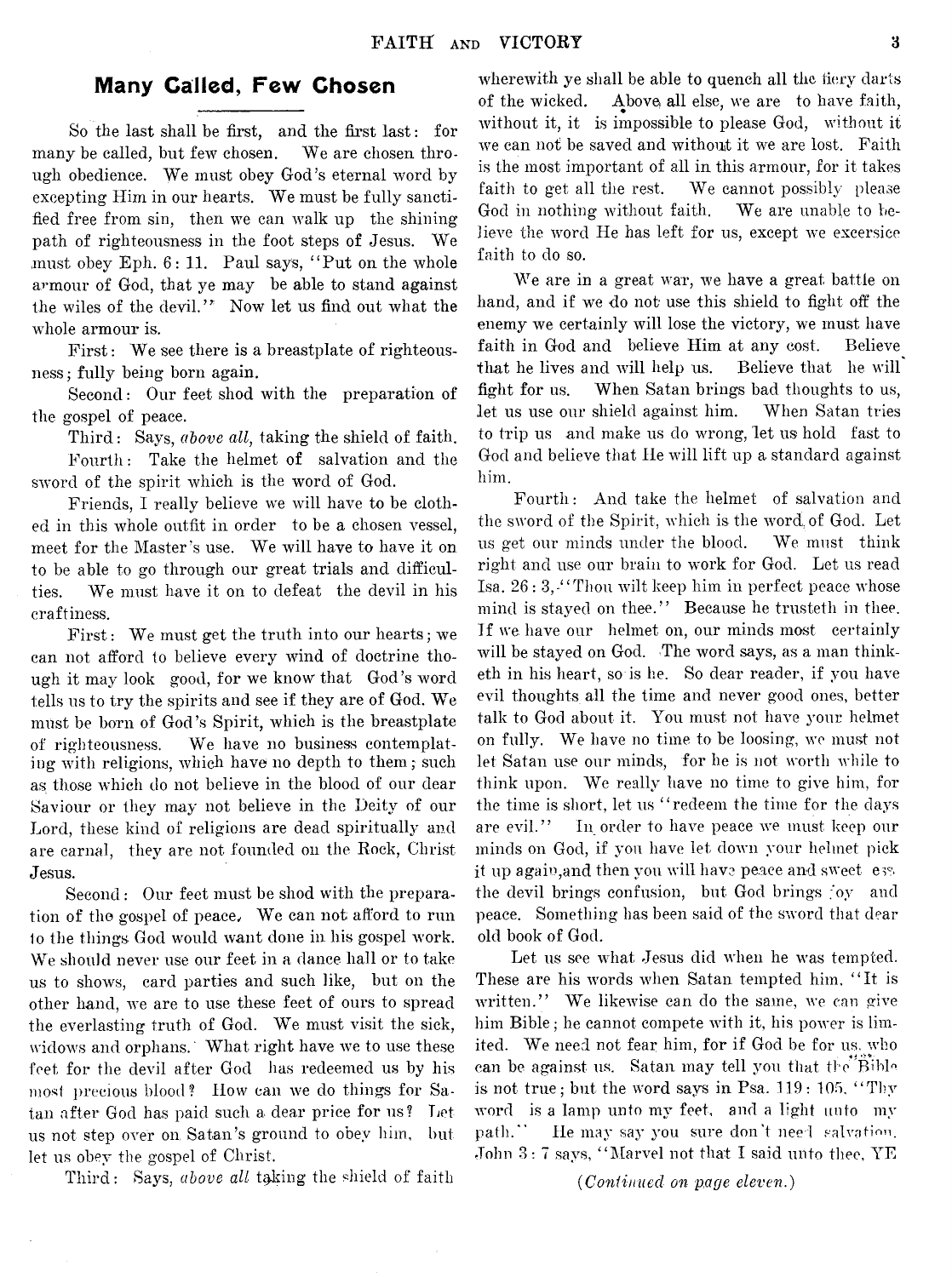# **Many Called, Few Chosen**

So the last shall be first, and the first last: for many be called, but few chosen. We are chosen through obedience. We must obey God's eternal word by excepting Him in our hearts. We must be fully sanctified free from sin, then we can walk up the shining path of righteousness in the foot steps of Jesus. We must obey Eph. 6: 11. Paul says, " Put on the whole armour of God, that ye may be able to stand against the wiles of the devil." Now let us find out what the whole armour is.

First: We see there is a breastplate of righteousness; fully being born again.

Second: Our feet shod with the preparation of the gospel of peace.

Third: Says, *above all*, taking the shield of faith. Fourth: Take the helmet of salvation and the sword of the spirit which is the word of God.

Friends, I really believe we will have to be clothed in this whole outfit in order to be a chosen vessel, meet for the Master's use. We will have to have it on to be able to go through our great trials and difficulties. We must have it on to defeat the devil in his craftiness.

First: We must get the truth into our hearts; we can not afford to believe every wind of doctrine though it may look good, for we know that God's word tells us to try the spirits and see if they are of God. We must be born of God's Spirit, which is the breastplate of righteousness. We have no business contemplating with religions, which have no depth to them; such as those which do not believe in the blood of our dear Saviour or they may not believe in the Deity of our Lord, these kind of religions are dead spiritually and are carnal, they are not founded on the Rock, Christ Jesus.

Second: Our feet must be shod with the preparation of the gospel of peace, We can not afford to run to the things God would want done in his gospel work. We should never use our feet in a dance hall or to take us to shows, card parties and such like, but on the other hand, we are to use these feet of ours to spread the everlasting truth of God. We must visit the sick, widows and orphans. What right have we to use these feet for the devil after God has redeemed us by his most precious blood ? How can we do things for Satan after God has paid such a dear price for us? Let us not step over on, Satan's ground to obey him, but let us obey the gospel of Christ.

Third: Says, *above all* taking the shield of faith

wherewith ye shall be able to quench all the fiery darts of the wicked. Above, all else, we are to have faith, without it, it is impossible to please God, without it we can not be saved and without it we are lost. Faith is the most important of all in this armour, for it takes faith to get all the rest. We cannot possibly please God in nothing without faith. We are unable to believe the word He has left for us, except we excersice faith to do so.

We are in a great war, we have a great battle on hand, and if we do not use this shield to fight off the enemy we certainly will lose the victory, we must have faith in God and believe Him at any cost. Believe that he lives and will help us. Believe that he will fight for us. When Satan brings bad thoughts to us, let us use our shield against him. When Satan tries to trip us and make us do wrong, let us hold fast to God and believe that He will lift up a standard against him.

Fourth : And take the helmet of salvation and the sword of the Spirit, which is the word of God. Let us get our minds under the blood. We must think right and use our brain to work for God. Let us read Isa. 26 : 3,-" Thou wilt keep him in perfect peace whose mind is stayed on thee." Because he trusteth in thee. If we have our helmet on, our minds most certainly will be stayed on God. The word says, as a man thinketh in his heart, so is he. So dear reader, if you have evil thoughts all the time and never good ones, better talk to God about it. You must not have your helmet on fully. We have no time to be loosing, we must not let Satan use our minds, for he is not worth while to think upon. We really have no time to give him, for the time is short, let us " redeem the time for the days are evil." In order to have peace we must keep our minds on God, if you have let down your helmet pick it up again, and then you will have peace and sweet ey. the devil brings confusion, but God brings joy and peace. Something has been said of the sword that dear old book of God.

Let us see what Jesus did when he was tempted. These are his words when Satan tempted him, " It is written." We likewise can do the same, we can give him Bible; he cannot compete with it, his power is limited. We need not fear him, for if God be for us, who can be against us. Satan may tell you that the Bible is not true; but the word says in Psa.  $119:105$ , "Thy word is a lamp unto my feet, and a light unto my path.\*\* He may say you sure don't need **salvation.** John 3: 7 says, " Marvel not that I said unto thee, YE

*{Continued on page eleven.)*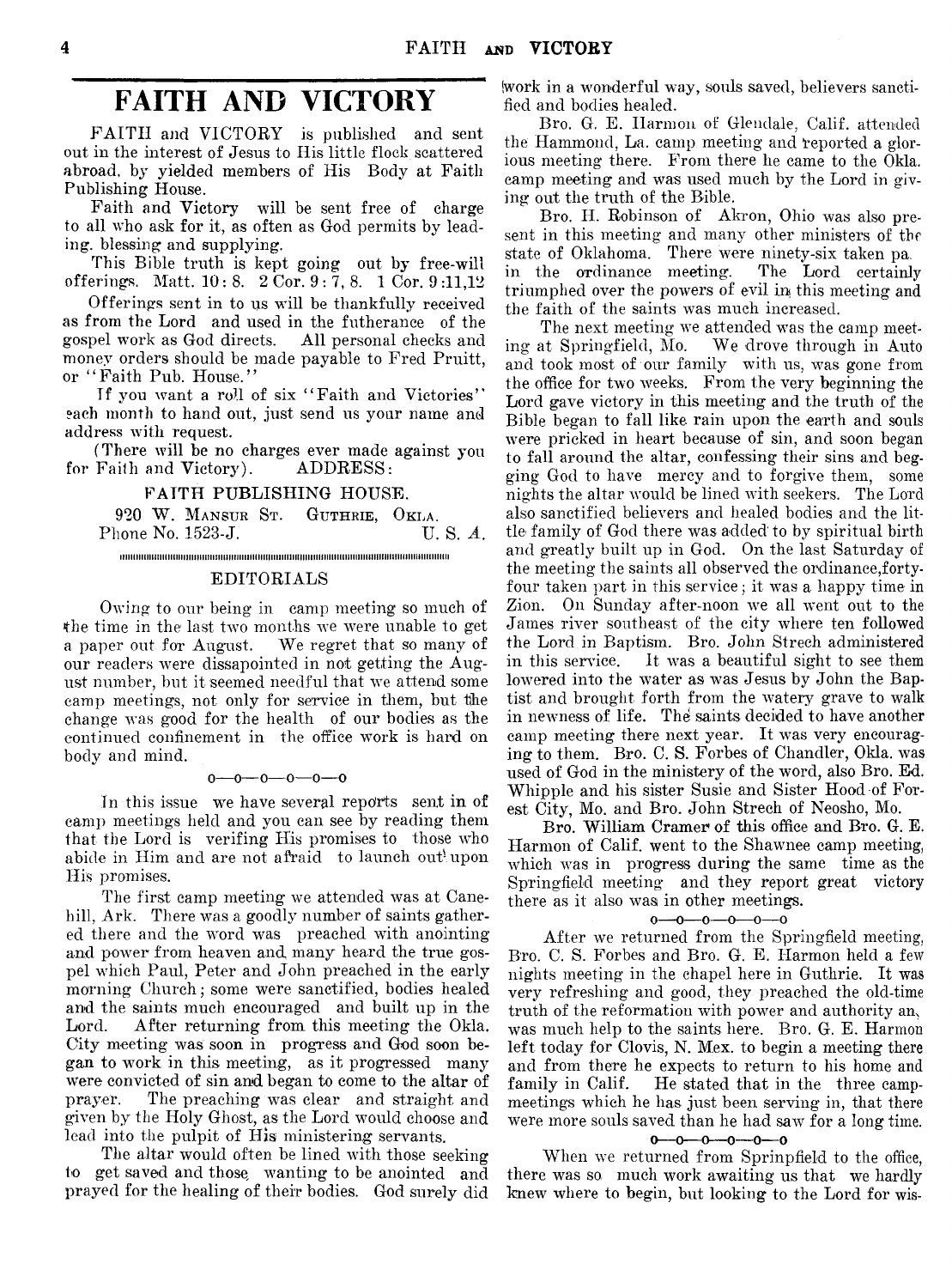# **FAITH AND VICTORY**

FAITH and VICTORY is published and sent out in the interest of Jesus to Ilis little flock scattered abroad, by yielded members of His Body at Faith Publishing House.

Faith and Victory will be sent free of charge to all who ask for it, as often as God permits by leading. blessing and supplying.

This Bible truth is kept going out by free-will offerings. Matt. 10:8. 2 Cor. 9 : 7, 8. 1 Cor. 9 :11,12

Offerings sent in to us will be thankfully received as from the Lord and used in the futherance of the gospel work as God directs. All personal checks and gospel work as God directs. money orders should be made payable to Fred Pruitt, or "Faith Pub. House."

If you want a roll of six "Faith and Victories" each month to hand out, just send us your name and address with request.

(There will be no charges ever made against you for Faith and Victory). ADDRESS:

#### FAITH PUBLISHING HOUSE.

920 W. MANSUR ST. GUTHRIE, OKLA.<br>hone No. 1523-J. U.S. A. Phone No. 1523-J.

iiiimimiiiiimmiiiiiiiiimiiiiimiiiimimimimiiiiimiiiiiiiniimmiiiiimiiiimiiiiiimiiiiiimiimi

#### EDITORIALS

Owing to our being in camp meeting so much of the time in the last two months we were unable to get a paper out for August. We regret that so many of our readers were dissapointed in not getting the August number, but it seemed needful that we attend some camp meetings, not only for service in them, but the change was good for the health of our bodies as the continued confinement in the office work is hard on body and mind.

#### $0 - 0 - 0 - 0 - 0$

In this issue we have several reports sent in of camp meetings held and you can see by reading them that the Lord is verifing His promises to those who abide in Him and are not afraid to launch out upon His promises.

The first camp meeting we attended was at Canehill, Ark. There was a goodly number of saints gathered there and the word was preached with anointing and power from heaven and many heard the true gospel which Paul, Peter and John preached in the early morning Church; some were sanctified, bodies healed and the saints much encouraged and built up in the Lord. After returning from this meeting the Okla. City meeting was soon in progress and God soon began to work in this meeting, as it progressed many were convicted of sin and began to come to the altar of prayer. The preaching was clear and straight and given by the Holy Ghost, as the Lord would choose and lead into the pulpit of His ministering servants.

The altar would often be lined with those seeking to get saved and those, wanting to be anointed and prayed for the healing of their bodies. God surely did

(work in a wonderful way, souls saved, believers sanctified and bodies healed.

Bro. G. E. Harmon of Glendale, Calif, attended the Hammond, La. camp meeting and reported a glorious meeting there. From there he came to the Okla. camp meeting and was used much by the Lord in giving out the truth of the Bible.

Bro. H. Robinson of Akron, Ohio was also present in this meeting and many other ministers of the state of Oklahoma. There were ninety-six taken pa-<br>in the ordinance meeting. The Lord certainly in the ordinance meeting. triumphed over the powers of evil in this meeting and the faith of the saints was much increased.

The next meeting we attended was the camp meeting at Springfield, Mo. We drove through in Auto We drove through in Auto. and took most of our family with us, was gone from the office for two weeks. From the very beginning the Lord gave victory in this meeting and the truth of the Bible began to fall like rain upon the earth and souls were pricked in heart because of sin, and soon began to fall around the altar, confessing their sins and begging God to have mercy and to forgive them, some nights the altar would be lined with seekers. The Lord also sanctified believers and healed bodies and the little family of God there was added' to by spiritual birth and greatly built up in God. On the last Saturday of the meeting the saints all observed the ordinance,fortyfour taken part in this service; it was a happy time in Zion. On Sunday after-noon we all went out to the James river southeast of the city where ten followed the Lord in Baptism. Bro. John Strech administered in this service. It was a beautiful sight to see them lowered into the water as was Jesus by John the Baptist and brought forth from the watery grave to walk in newness of life. The saints decided to have another camp meeting there next year. It was very encouraging to them. Bro. C. S. Forbes of Chandler, Okla. was used of God in the ministery of the word, also Bro. Ed. Whipple and his sister Susie and Sister Hood of Forest City, Mo. and Bro. John Strech of Neosho, Mo.

Bro. William Cramer of this office and Bro. G. E. Harmon of Calif, went to the Shawnee camp meeting, which was in progress during the same time as the Springfield meeting and they report great victory there as it also was in other meetings.

#### $0 - 0 - 0 - 0 - 0$

After we returned from the Springfield meeting, Bro. C. S. Forbes and Bro. G. E. Harmon held a few nights meeting in the chapel here in Guthrie. It was very refreshing and good, they preached the old-time truth of the reformation with power and authority am was much help to the saints here. Bro. G. E. Harmon left today for Clovis, N. Mex. to begin a meeting there and from there he expects to return to his home and family in Calif. He stated that in the three campmeetings which he has just been serving in, that there were more souls saved than he had saw for a long time.

#### $0 - 0 - 0 - 0 - 0 - 0$

When we returned from Sprinpfield to the office, there was so. much work awaiting us that we hardly knew where to begin, but looking to the Lord for wis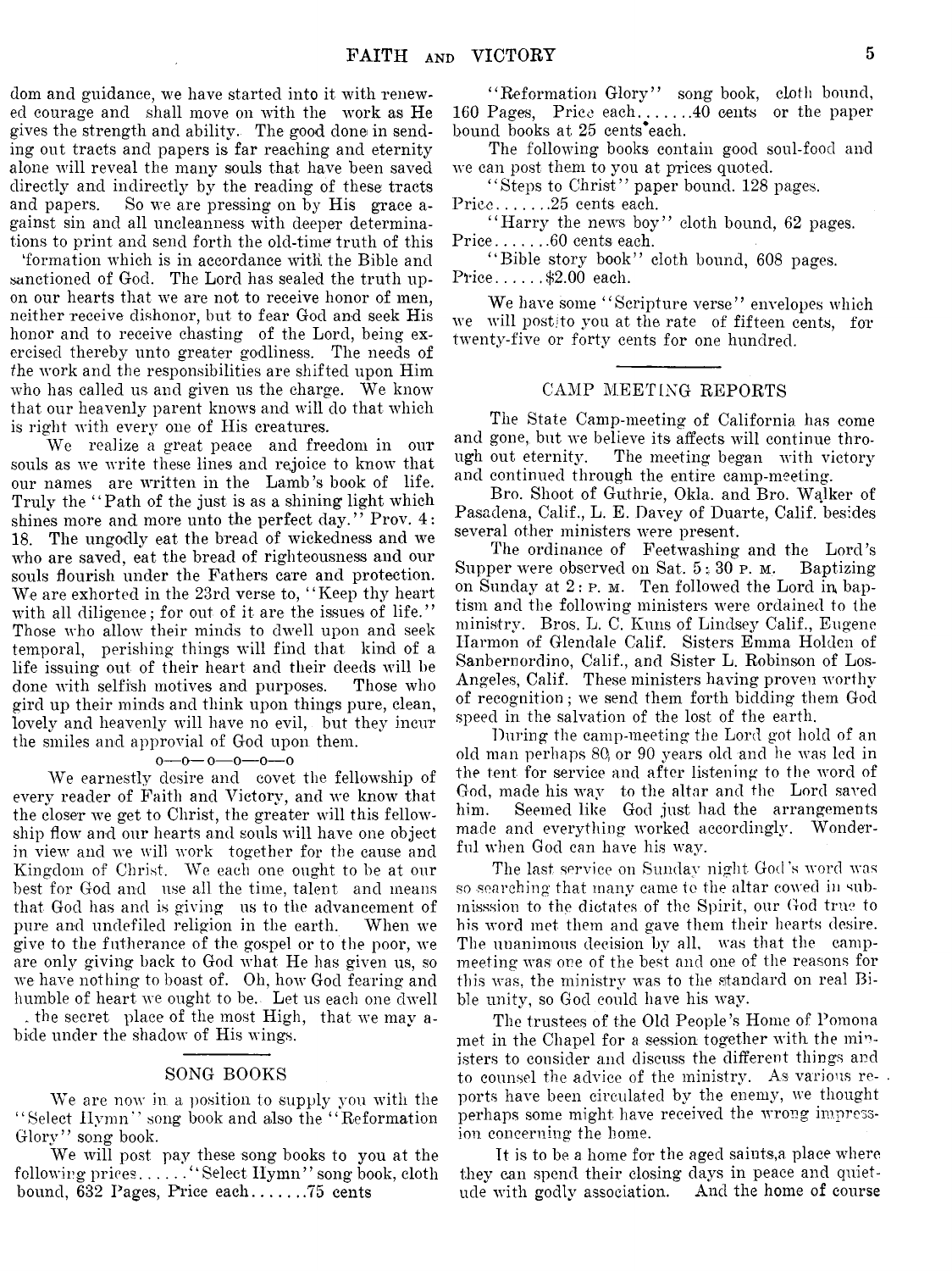dom and guidance, we have started into it with renewed courage and shall move on with the work as He gives the strength and ability. The good done in sending out tracts and papers is far reaching and eternity alone will reveal the many souls that have been saved directly and indirectly by the reading of these tracts and papers. So we are pressing on by His grace against sin and all uncleanness with deeper determinations to print and send forth the old-time truth of this

'formation which is in accordance witli the Bible and sanctioned of God. The Lord has sealed the truth upon our hearts that we are not to receive honor of men, neither receive dishonor, but to fear God and seek His honor and to receive chasting of the Lord, being exercised thereby unto greater godliness. The needs of /he work and the responsibilities are shifted upon Him who has called us and given us the charge. We know that our heavenly parent knows and will do that which is right with every one of His creatures.

We realize a great peace and freedom in our souls as we write these lines and rejoice to know that our names are written in the Lamb's book of life. Truly the "Path of the just is as a shining light which shines more and more unto the perfect day." Prov. 4: 18. The ungodly eat the bread of wickedness and we who are saved, eat the bread of righteousness and our souls flourish under the Fathers care and protection. We are exhorted in the 23rd verse to, "Keep thy heart with all diligence; for out of it are the issues of life." Those who allow their minds to dwell upon and seek temporal, perishing things will find that kind of a life issuing out of their heart and their deeds will be done with selfish motives and purposes. Those who gird up their minds and think upon things pure, clean, lovely and heavenly will have no evil, but they incur the smiles and approvial of God upon them.

#### $0 - 0 - 0 - 0 - 0$

We earnestly desire and covet the fellowship of every reader of Faith and Victory, and we know that the closer we get to Christ, the greater will this fellowship flow and our hearts and souls will have one object in view and we will work together for the cause and Kingdom of Christ. We each one ought to be at our best for God and use all the time, talent and means that God has and is giving us to the advancement of pure and undefiled religion in the earth. When we give to the futherance of the gospel or to the poor, we are only giving back to God what He has given us, so we have nothing to boast of. Oh, how God fearing and humble of heart we ought to be. Let us each one dwell . the secret place of the most High, that we may a-

bide under the shadow of His wings.

#### SONG BOOKS

We are now in. a position to supply you with the ' ' Select Hymn" song book and also the " Reformation Glory" song book.

We will post pay these song books to you at the following prices......." Select Hymn" song book, cloth bound, 632 Pages, Price each............75 cents

"Reformation Glory" song book, cloth bound, 160 Pages, Price each........... 40 cents or the paper bound books at 25 cents\*each.

The following books contain good soul-food and we can post them to you at prices quoted.

"Steps to Christ" paper bound. 128 pages. Price.......25 cents each.

"Harry the news boy" cloth bound, 62 pages. Price........60 cents each.

"Bible story book" cloth bound, 608 pages. Price...... $$2.00$  each.

We have some "Scripture verse" envelopes which we will postjto you at the rate of fifteen cents, for twenty-five or forty cents for one hundred.

#### CAMP MEETING REPORTS

The State Camp-meeting of California has come and gone, but we believe its affects will continue through out eternity. The meeting began with victory and continued through the entire camp-meeting.

Bro. Shoot of Guthrie, Okla. and Bro. Walker of Pasadena, Calif., L. E. Davey of Duarte, Calif, besides several other ministers were present.

The ordinance of Feetwashing and the Lord's Supper were observed on Sat. 5 • 30 p. **m.** Baptizing on Sunday at 2: **p**. **m**. Ten followed the Lord in baptism and the following ministers were ordained to the ministry. Bros. L. C. Kuns of Lindsey Calif., Eugene Harmon of Glendale Calif. Sisters Emma Holden of Sanbernordino, Calif., and Sister L. Robinson of Los-Angeles, Calif. These ministers having proven worthy of recognition; we send them forth bidding them God speed in the salvation of the lost of the earth.

During the camp-meeting the Lord got hold of an old man perhaps 80, or 90 years old and he was led in the tent for service and after listening to the word of God, made his way to the altar and the Lord saved him. Seemed like God just had the arrangements made and everything worked accordingly. Wonderful when God can have his way.

The last service on Sunday night God's word was so searching that many came to the altar cowed in submission to the dictates of the Spirit, our God true to his word met them and gave them their hearts desire. The unanimous decision by all, was that the campmeeting was one of the best and one of the reasons for this was, the ministry was to the standard on real Bible unity, so God could have his way.

The trustees of the Old People's Home of Pomona met in the Chapel for a session together with the ministers to consider and discuss the different things and to counsel the advice of the ministry. As various reports have been circulated by the enemy, we thought perhaps some might have received the wrong impression concerning the home.

It is to be a home for the aged saints,a place where they can spend their closing days in peace and quietude with godly association. And the home of course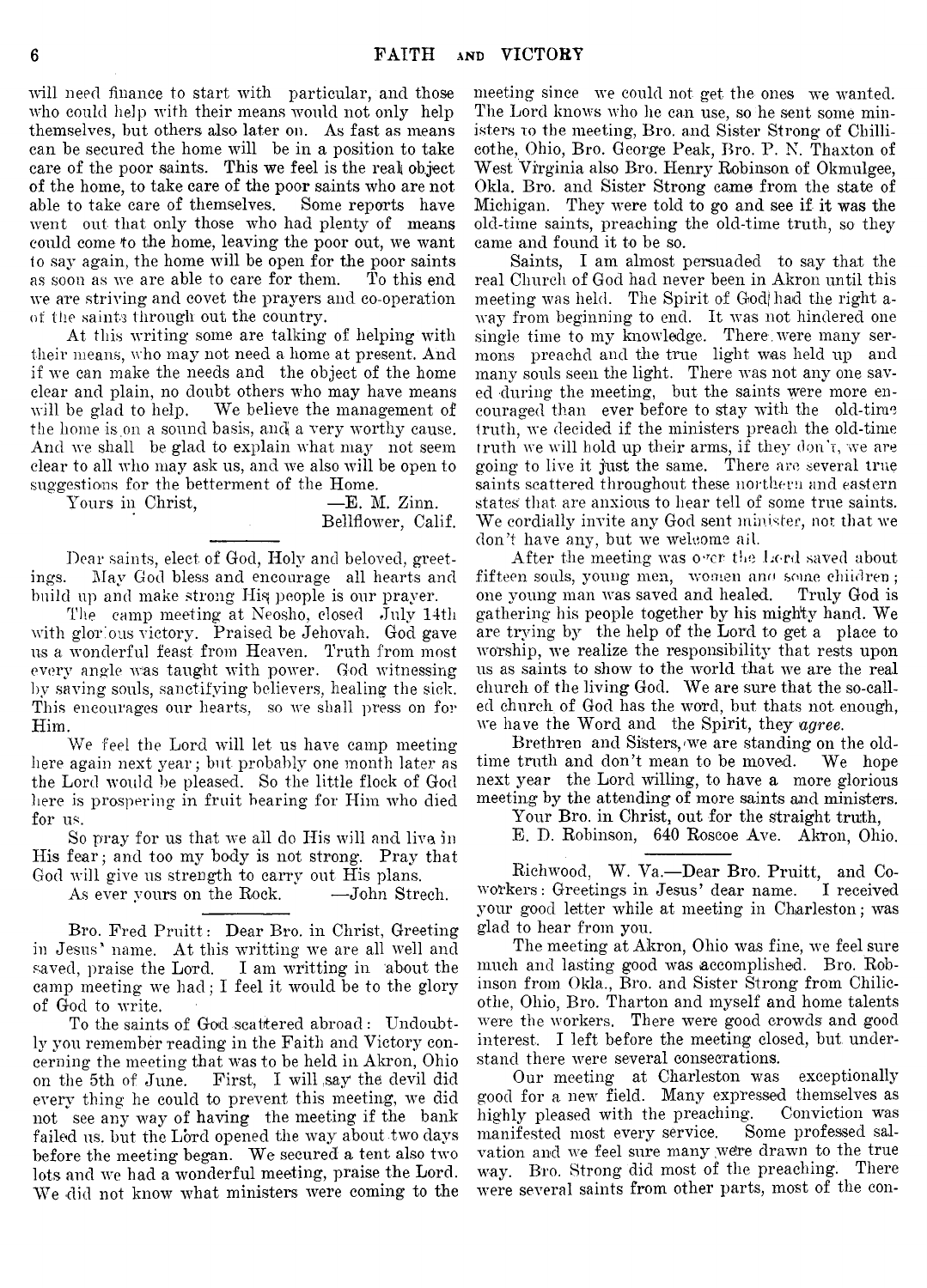will need finance to start with particular, and those who could help with their means would not only help themselves, but others also later on. As fast as means can be secured the home will be in a position to take care of the poor saints. This we feel is the real object of the home, to take care of the poor saints who are not able to take care of themselves. Some reports have went out that only those who had plenty of means could come to the home, leaving' the poor out, we want to say again, the home will be open for the poor saints as soon as we are able to care for them. To this end we are striving and covet the prayers and co-operation of the saints through out the country.

At this writing some are talking of helping with their means, who may not need a home at present. And if we can make the needs and the object of the home clear and plain, no doubt others who may have means will be glad to help. We believe the management of the home is on a sound basis, and a very worthy cause. And we shall be glad to explain what may not seem clear to all who may ask us, and we also will be open to suggestions for the betterment of the Home.

Yours in Christ,  $\qquad \qquad -E. M. Zinn.$ 

Bellflower, Calif.

Dear saints, elect of God, Holy and beloved, greetings. May God bless and encourage all hearts and build up and make strong His people is our prayer.

The camp meeting at Neosho, closed July 14th with glorious victory. Praised be Jehovah. God gave us a wonderful feast from Heaven. Truth from most every angle w'as taught with power. God witnessing by saving souls, sanctifying believers, healing the sick. This encourages our hearts, so we shall press on for Him.

We feel the Lord will let us have camp meeting here again next year; but probably one month later as the Lord would be pleased. So the little flock of God here is prospering in fruit bearing for Him who died for us.

So pray for us that we ail do His will and live in His fear; and too my body is not strong. Pray that God will give us strength to carry out His plans.

As ever yours on the Rock. — John Strech.

Bro. Fred Pruitt: Dear Bro. in Christ, Greeting in Jesus\* name. At this writting we are all well and saved, praise the Lord. I am writting in about the camp meeting we had; I feel it would be to the glory of God to write.

To the saints of God scattered abroad : Undoubtly you remember reading in the Faith and Victory concerning the meeting that was to be held in Akron, Ohio on the 5th of June. First, I will say the devil did every thing he could to prevent this meeting, we did not see any way of having the meeting if the bank failed us. but the Lord opened the way about two days before the meeting began. We secured a tent also two lots and we had a wonderful meeting, praise the Lord. We did not know what ministers were coming to the

meeting since we could not get the ones we wanted. The Lord knows who he can use, so he sent some ministers **to** the meeting, Bro. and Sister Strong of Chillicothe, Ohio, Bro. George Peak, Bro. P. N. Thaxton of West Virginia also Bro. Henry Robinson of Okmulgee, Okla. Bro. and Sister Strong came from the state of Michigan. They were told to go and see if it was the old-time saints, preaching the old-time truth, so they came and found it to be so.

Saints, I am almost persuaded to say that the real Church of God had never been in Akron until this meeting was held. The Spirit of God had the right away from beginning to end. It was not hindered one single time to my knowledge. There were many sermons preachd and the true light was held up and many souls seen the light. There was not any one saved during the meeting, but the saints were more encouraged than ever before to stay with the old-time truth, we decided if the ministers preach the old-time truth we will hold up their arms, if they don't, we are going to live it just the same. There are several true saints scattered throughout these northern and eastern states that are anxious to hear tell of some true saints. We cordially invite any God sent minister, not that we don't have any, but we welcome ail.

After the meeting was over-the Lord saved about fifteen souls, young men, women and some children;<br>one young man was saved and healed. Truly God is one young man was saved and healed. gathering his people together by his mighty hand. We are trying by the help of the Lord to get a place to worship, we realize the responsibility that rests upon us as saints to show to the world that we are the real church of the living God. We are sure that the so-called church of God has the word, but thats not enough, we have the Word and the Spirit, they *ugree.*

Brethren and Sisters, we are standing on the oldtime truth and don't mean to be moved. We hope next year the Lord willing, to have a more glorious meeting by the attending of more saints and ministers.

Your Bro. in Christ, out for the straight truth,

E. D. Robinson, 640 Roscoe Ave. Akron, Ohio.

Rich wood, W. Va.— Dear Bro. Pruitt, and Coworkers : Greetings in Jesus' dear name. I received your good letter while at meeting in Charleston; was glad to hear from you.

The meeting at Akron, Ohio was fine, we feel sure much and lasting good was accomplished. Bro. Robinson from Okla., Bro. and Sister Strong from Chilicothe, Ohio, Bro. Tharton and myself and home talents were the workers. There were good crowds and good interest, I left before the meeting closed, but. understand there were several consecrations.

Our meeting at Charleston was exceptionally good for a new field. Many expressed themselves as highly pleased with the preaching. Conviction was manifested most every service. Some professed salvation and we feel sure many were drawn to the true way. Bro. Strong did most of the preaching. There were several saints from other parts, most of the eon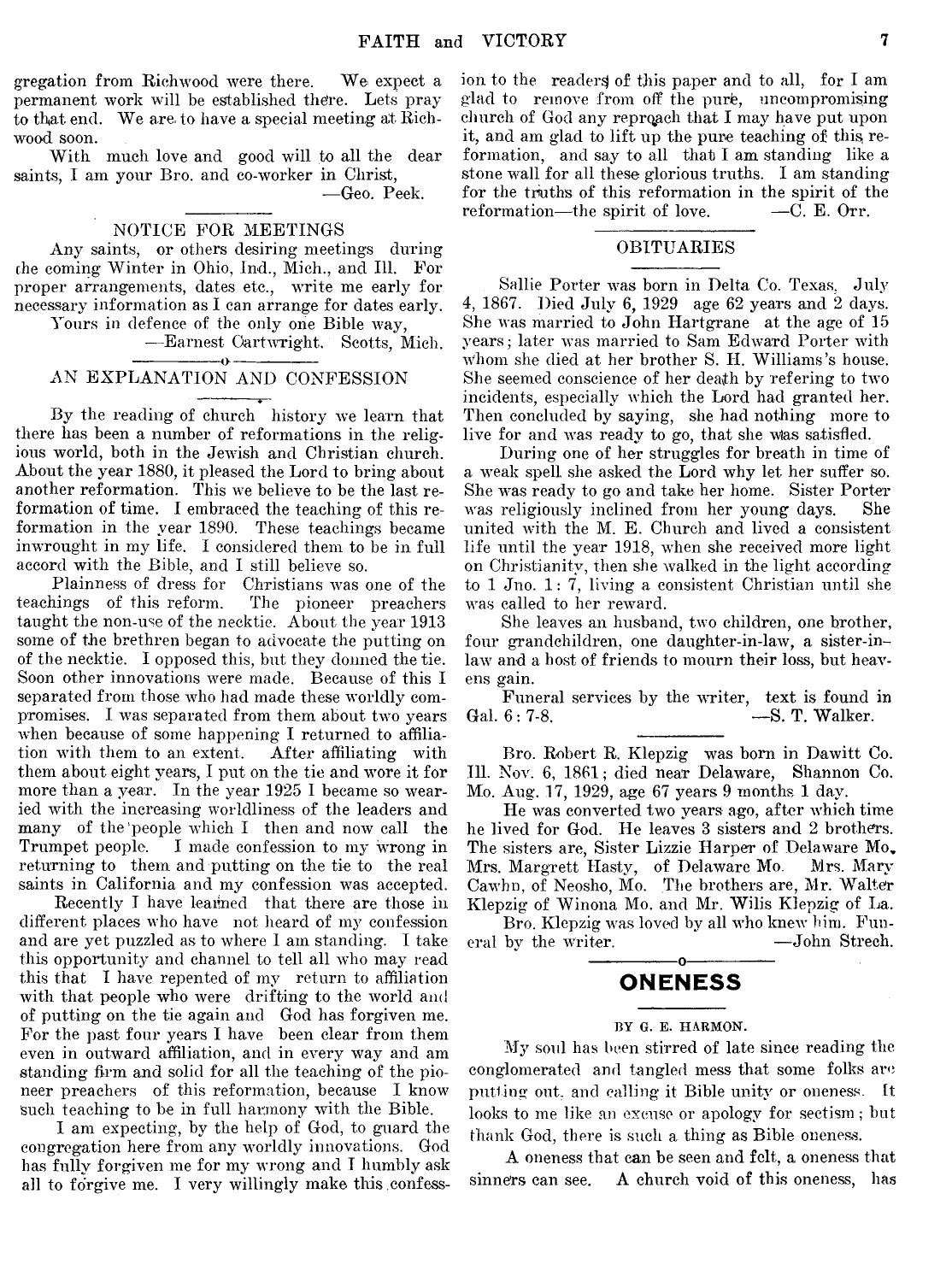gregation from Richwood were there. We expect a permanent work will be established the're. Lets pray to that end. We are. to have a special meeting at Richwood soon.

With much love and good will to all the dear saints, I am your Bro. and co-worker in Christ,

— Geo. Peek.

#### NOTICE FOR MEETINGS

Any saints, or others desiring meetings during che coming Winter in Ohio, Ind., Mich., and 111. For proper arrangements, dates etc., write me early for necessary information as I can arrange for dates early. Yours in defence of the only one Bible way,

— Earnest Cartwright. Scotts, Mich.

#### $-0 -$ AN EXPLANATION AND CONFESSION

By the reading of church history we learn that there has been a number of reformations in the religious world, both in the Jewish and Christian church. About the year 1880, it pleased the Lord to bring about another reformation. This we believe to be the last reformation of time. I embraced the teaching of this reformation in the year 1890. These teachings became inwrought in my life. I considered them to be in full accord with the Bible, and I still believe so.

Plainness of dress for Christians was one of the teachings of this reform. The pioneer preachers taught the non-use of the necktie. About the year 1913 some of the brethren began to advocate the putting on of the necktie. I opposed this, but they donned the tie. Soon other innovations were made. Because of this I separated from those who had made these worldly compromises. I was separated from them about two years when because of some happening I returned to affilia-<br>tion with them to an extent. After affiliating with tion with them to an extent. them about eight years, I put on the tie and wore it for more than a year. In the year 1925 I became so wearied with the increasing worldliness of the leaders and many of the'people which I then and now call the Trumpet people. I made confession to my wrong in returning to them and putting on the tie to the real saints in California and my confession was accepted.

Recently I have learned that there are those in different places who have not heard of my confession and are yet puzzled as to where I am standing. I take this opportunity and channel to tell all who may read this that I have repented of my return to affiliation with that people who were drifting to the world and of putting on the tie again and God has forgiven me. For the past four years I have been clear from them even in outward affiliation, and in every way and am standing firm and solid for all the teaching of the pioneer preachers of this reformation, because I know such teaching to be in full harmony with the Bible.

I am expecting, by the help of God, to guard the congregation here from any worldly innovations. God has fully forgiven me for my wrong and I humbly ask all to forgive me. I very willingly make this confess-

ion to the readers) of this paper and to all, for I am glad to remove from off the pure, uncompromising church of God any reproach that I may have put upon it, and am glad to lift up the pure teaching of this, reformation, and say to all that I am standing like a stone wall for all these glorious truths. I am standing for the truths of this reformation in the spirit of the reformation—the spirit of love.  $\qquad$  —C. E. Orr.

#### OBITUARIES

Sallie Porter was born in Delta Co. Texas. July 4, 1867. Died July 6, 1929 age 62 years and 2 days. She was married to John Hartgrane at the age of 15 years; later was married to Sam Edward Porter with whom she died at her brother S. II. Williams's house. She seemed conscience of her death by refering to two incidents, especially which the Lord had granted her. Then concluded by saying, she had nothing more to live for and was ready to go, that she was satisfied.

During one of her struggles for breath in time of a weak spell she asked the Lord **Avhy** let her suffer so. She was ready to go and take her home. Sister Porter was religiously inclined from her young days. She united with the M. E. Church and lived a consistent life until the year 1918, when she received more light on Christianity, then she walked in the light according to 1 Jno. 1: 7, living a consistent Christian until she was called to her reward.

She leaves an husband, two children, one brother, four grandchildren, one daughter-in-law, a sister-inlaw and a host of friends to mourn their loss, but heavens gain.

Funeral services by the writer, text is found in Gal. 6: 7-8.<br>-S. T. Walker. -S. T. Walker.

Bro. Robert R. Klepzig was born in Dawitt Co. 111. Nov. 6, 1861; died near Delaware, Shannon Co. Mo. Aug. 17, 1929, age 67 years. 9 months 1 day.

He was converted two years ago, after which time he lived for God. He leaves 3 sisters and 2 brothers. The sisters are, Sister Lizzie Harper of Delaware Mo, Mrs. Margrett Hasty, of Delaware Mo. Mrs. Mary Cawhn, of Neosho, Mo. The brothers are, Mr. Walter Klepzig of Winona Mo. and Mr. Wilis Klepzig of La.

Bro. Klepzig was loved by all who knew him. Funeral by the writer.  $\qquad \qquad -John$  Strech. ---------------- o-----------------

## **ONENESS**

#### BY G. E. HARMON.

My soul has been stirred of late since reading the conglomerated and tangled mess that some folks are putting out, and calling it Bible unity or oneness. It looks to me like an excuse or apology for sectism; but thank God, there is such a thing as Bible oneness.

A oneness that can be seen and felt, a oneness that sinners can see. A church void of this oneness, has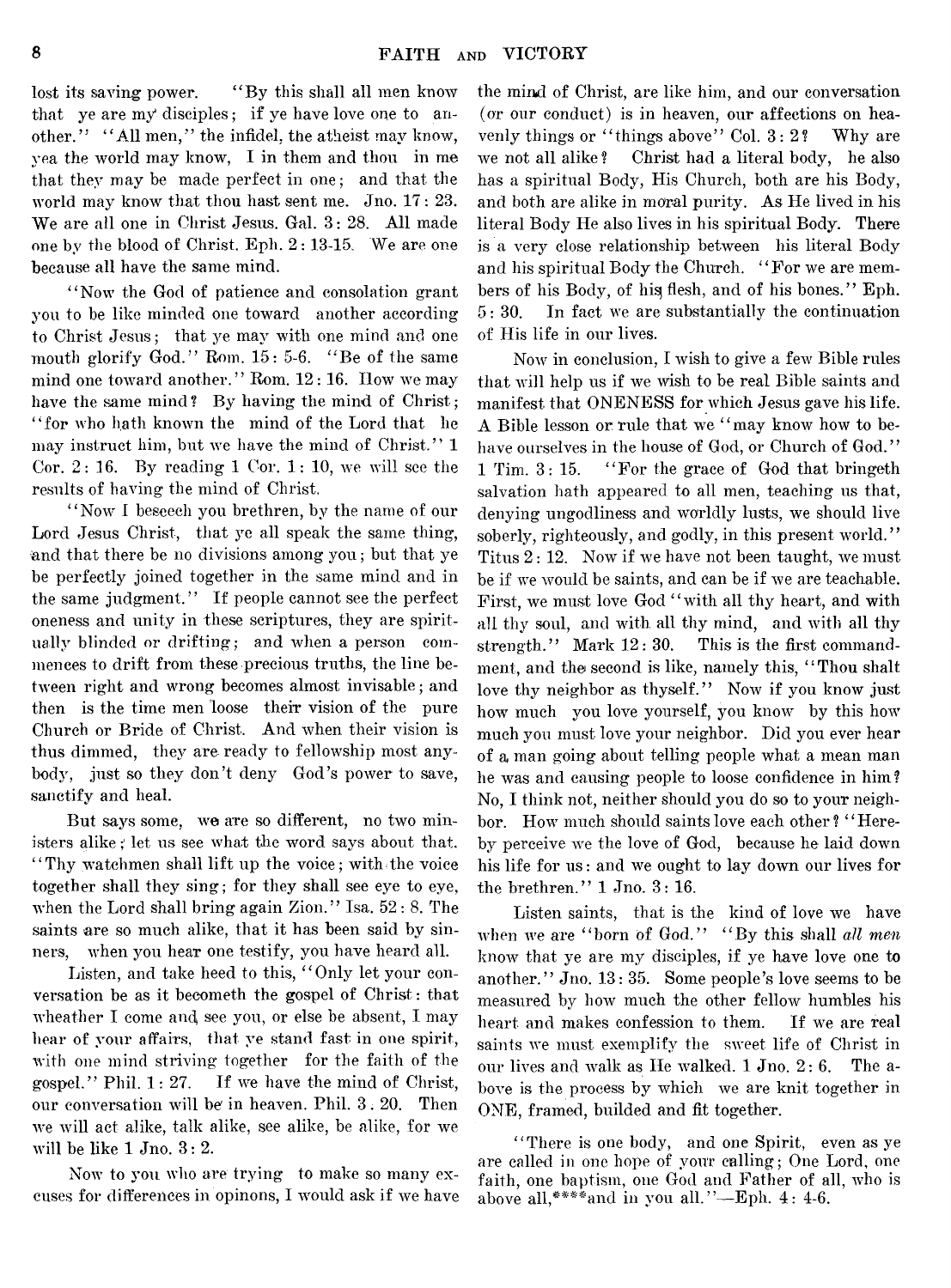lost its saving power. "By this shall all men know that ye are my disciples; if ye have love one to another." "All men," the infidel, the atheist may know, yea the world may know, I in them and thou in me that they may be made perfect in one; and that the world may know that thou hast sent me. Jno. 17 : 23. We are all one in Christ Jesus. Gal. 3: 28. All made one by the blood of Christ. Eph. 2: 13-15, We are one because all have the same mind.

" Now the God of patience and consolation grant you to be like minded one toward another according to Christ Jesus; that ye may with one mind and one mouth glorify God." Rom. 15: 5-6. " Be of the same mind one toward another." Rom. 12:16. How we may have the same mind? By having the mind of Christ; " for who hath known the mind of the Lord that he may instruct him, but we have the mind of Christ." 1 Cor.  $2: 16$ . By reading 1 Cor.  $1: 10$ , we will see the results of having the mind of Christ.

" Now I beseech you brethren, by the name of our Lord Jesus Christ, that ye all speak the same thing, and that there be no divisions among you; but that ye be perfectly joined together in the same mind and in the same judgment." If people cannot see the perfect oneness and unity in these scriptures, they are spiritually blinded or drifting; and when a person commences to drift from these precious truths, the line between right and wrong becomes almost invisable; and then is the time men loose their vision of the pure Church or Bride of Christ. And when their vision is thus dimmed, they are ready to fellowship most anybody, just so they don't deny God's power to save, sanctify and heal.

But says some, we are so different, no two ministers alike; let us see what the word says about that. "Thy watchmen shall lift up the voice; with the voice" together shall they sing; for they shall see eye to eye, when the Lord shall bring again Zion." Isa. 52: 8. The saints are so much alike, that it has been said by sinners, when you hear one testify, you have heard all.

Listen, and take heed to this, "Only let your conversation be as it becometh the gospel of Christ: that wheather I come and see you, or else be absent, I may hear of your affairs, that ye stand fast in one spirit, with one mind striving together for the faith of the gospel." Phil. 1: 27. If we have the mind of Christ, our conversation will be' in heaven. Phil. 3. 20. Then we will act alike, talk alike, see alike, be alike, for we will be like 1 Jno. 3: 2.

Now to you who are trying to make so many excuses for differences in opinons, I would ask if we have

the mind of Christ, are like him, and our conversation (or our conduct) is in heaven, our affections on heavenly things or "things above" Col. 3:2? Why are we not all alike ? Christ had a literal body, he also has a spiritual Body, His Church, both are his Body, and both are alike in moral purity. As He lived in his literal Body He also lives in his spiritual Body. There is a very close relationship between his literal Body and his spiritual Body the Church. "For we are members of his Body, of his flesh, and of his bones." Eph. 5: 30. In fact we are substantially the continuation of His life in our lives.

Now in conclusion, I wish to give a few Bible rules that will help us if we wish to be real Bible saints and manifest that ONENESS for which Jesus gave his life. A Bible lesson or rule that we " may know how to behave ourselves in the house of God, or Church of God." 1 Tim. 3: 15. " For the grace of God that bringeth salvation hath appeared to all men, teaching us that, denying ungodliness and worldly lusts, we should live soberly, righteously, and godly, in this present world." Titus 2: 12. Now if we have not been taught, we must be if we would be saints, and can be if we are teachable. First, we must love God "with all thy heart, and with all thy soul, and with all thy mind, and with all thy strength." Mark 12:30. This is the first commandment, and the second is like, namely this, "Thou shalt love thy neighbor as thyself." Now if you know just how much you love yourself, you know by this how much you must love your neighbor. Did you ever hear of a man going about telling people what a mean man he was and causing people to loose confidence in him? No, I think not, neither should you do so to your neighbor. How much should saints love each other? "Hereby perceive we the love of God, because he laid down his life for us: and we ought to lay down our lives for the brethren." 1 Jno. 3: 16.

Listen saints, that is the kind of love we have when we are "born of God." "By this shall all men know that ye are my disciples, if ye have love one to another." Jno. 13: 35. Some people's love seems to be measured by how much the other fellow humbles his heart and makes confession to them. If we are real saints we must exemplify the sweet life of Christ in our lives and walk as He walked. 1 Jno. 2: 6. The above is the process by which we are knit together in ONE, framed, builded and fit together.

" There is one body, and one Spirit, even as ye are called in one hope of vour calling; One Lord, one faith, one baptism, one God and Father of all, who is above all. \*\*\*\* and in you all. "-Eph. 4: 4-6.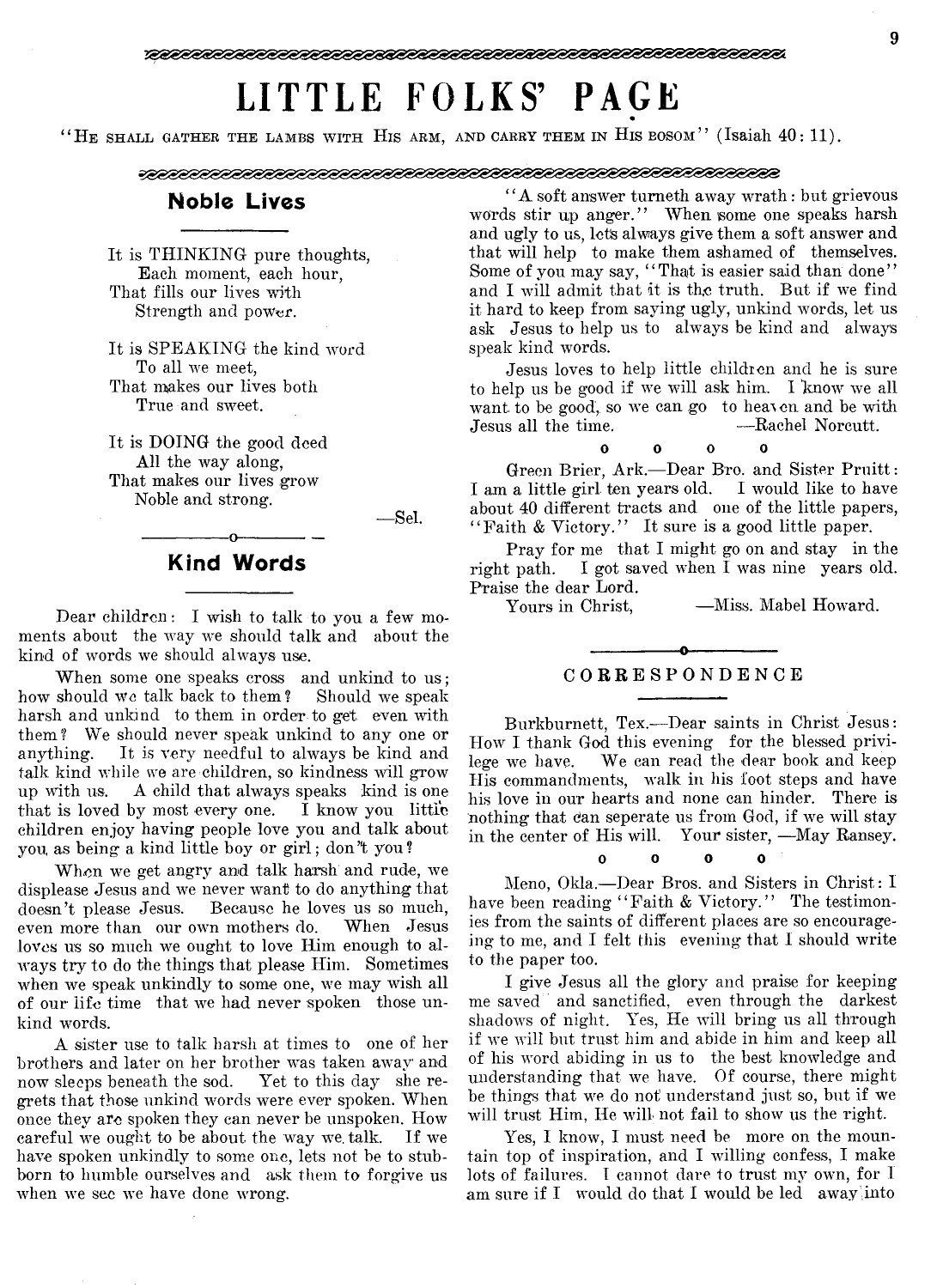# **LI TTLE FOLKS' PAGE**

" HE SHALL GATHER THE LAMBS WITH HIS ARM, AND CARRY THEM IN HIS BOSOM" (Isaiah  $40:11$ ).

#### 

# **Noble Lives**

It is THINKING pure thoughts, Each moment, each hour, That fills our lives with Strength and power.

It is SPEAKING the kind word To all we meet, That makes our lives both True and sweet.

It is DOING the good deed All the way along, That makes our lives grow Noble and strong.

— Sel.

# **Kind Words**

 $-0$ 

Dear children: I wish to talk to you a few moments about the way we should talk and about the kind of words we should always use.

When some one speaks cross and unkind to us; how should we talk back to them ? Should we speak harsh and unkind to them in order to get even with them? We should never speak unkind to any one or anything. It is very needful to always be kind and talk kind while we are children, so kindness will grow up with us. A child that always speaks kind is one that is loved by most every one. I know you little children enjoy having people love you and talk about you, as being a kind little boy or girl; don't you?

When we get angry and talk harsh and rude, we displease Jesus and we never want to do anything that doesn't please Jesus. Because he loves us so much, even more than our own mothers do. When Jesus loves us so much we ought to love Him enough to always try to do the things that please Him. Sometimes when we speak unkindly to some one, we may wish all of our life time that we had never spoken those unkind words.

A sister use to talk harsh at times to one of her brothers and later on her brother was taken away and now sleeps beneath the sod. Yet to this day she regrets that those unkind words were ever spoken. When once they are spoken they can never be unspoken. How careful we ought to be about the way we. talk. If we have spoken unkindly to some one, lets not be to stubborn to humble ourselves and ask them to forgive us when we see we have done wrong.

" A soft answer turaeth away wrath: but grievous words stir up anger." When some one speaks harsh and ugly to us, lets always give them a soft answer and that will help to make them ashamed of themselves. Some of you may say, "That is easier said than done" and I will admit that it is the truth. But if we find it hard to keep from saying ugly, unkind words, let us ask Jesus to help us to always be kind and always speak kind words.

Jesus loves to help little children and he is sure to help us be good if we will ask him.. I know we all want to be good, so we can go to heaven and be with<br>Jesus all the time.  $\begin{array}{r} -\text{Rachel Noreutt.} \end{array}$ Jesus all the time.

#### **0 0 0 0**

Green Brier, Ark.— Dear Bro. and Sister Pruitt: I am a little girl ten years old. I would like to have about 40 different tracts and one of the little papers, "Faith & Victory." It sure is a good little paper.

Pray for me that I might go on and stay in the right path. I got saved when I was nine years old. Praise the dear Lord.<br>Yours in Christ.

—Miss. Mabel Howard.

## -------------— o----------------- C O RRESPONDENCE

Burkburnett, Tex.— Dear saints in Christ Jesus: How I thank God this evening for the blessed privilege we have. We can read the dear book and keep His commandments, walk in his foot steps and have his love in our hearts and none can hinder. There is nothing that can seperate us from God, if we will stay in the center of His will. Your sister, —May Ransey.

#### o o O 0

Meno, Okla.— Dear Bros, and Sisters in Christ: I have been reading "Faith & Victory." The testimonies from the saints of different places are so encourageing to me, and I felt this evening that I should write to the paper too.

I give Jesus all the glory and praise for keeping me saved and sanctified, even through the darkest shadows of night. Yes, He will bring us all through if we will but trust him and abide in him and keep all of his word abiding in us to the best knowledge and understanding that we have. Of course, there might be things that we do not' understand just so, but if we will trust Him, He will not fail to show us the right.

Yes, I know, I must need be more on the mountain top of inspiration, and I willing confess, I make lots of failures. 1 cannot dare to trust my own, for I am sure if  $I$  would do that I would be led away into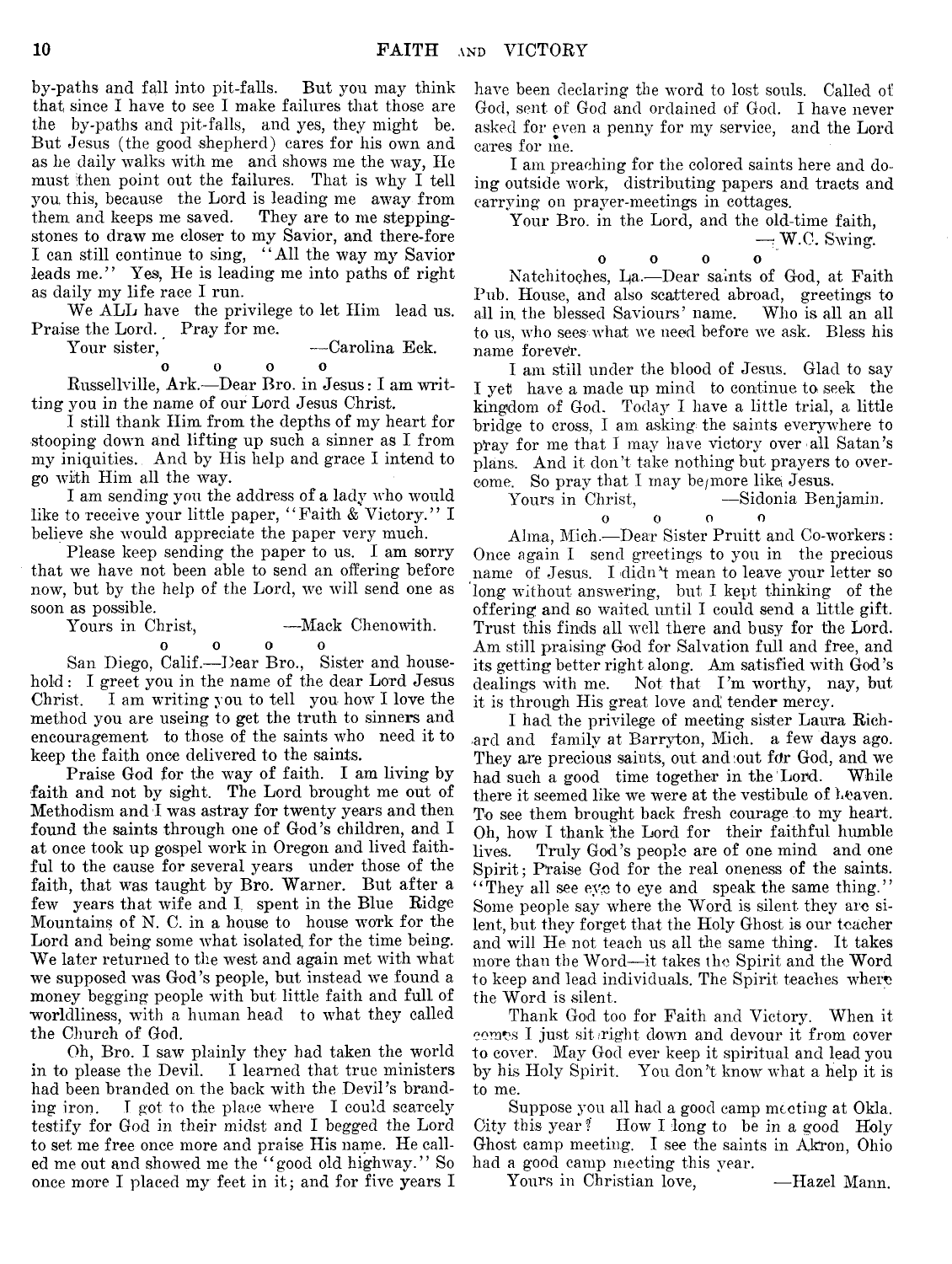by-paths and fall into pit-falls. But you may think that since I have to see I make failures that those are the by-paths and pit-falls, and yes, they might be. But Jesus (the good shepherd) cares for his own and as he daily walks with me and shows me the way, He must then point out the failures. That is why I tell you this, because the Lord is leading me away from<br>them and keeps me saved. They are to me steppingthem and keeps me saved. stones to draw me closer to my Savior, and there-fore I can still continue to sing, " All the way my Savior leads me." Yes, He is leading me into paths of right as daily my life race I run.

We ALL have the privilege to let Him lead us. Praise the Lord. Pray for me.

$$
\hbox{our sister},\quad
$$

Your sister, — Carolina Eck. **0 0 0 0**

Russellville, Ark.— Dear Bro. in Jesus: I am writting you in the name of our Lord Jesus Christ.

I still thank Him from the depths of my heart for stooping down and lifting up such a sinner as I from my iniquities. And by His help and grace I intend to go with Him all the way.

I am sending you the address of a lady who would like to receive your little paper, "Faith & Victory." I believe she would appreciate the paper very much.

Please keep sending the paper to us. I am sorry that we have not been able to send an offering before now, but by the help of the Lord, we will send one as soon as possible.<br>Yours in Christ,

-Mack Chenowith. oooo  $\Omega$ 

San Diego, Calif.— Dear Bro., Sister and household : I greet you in the name of the dear Lord Jesus Christ. I am writing you to tell you how I love the method you are useing to get the truth to sinners and encouragement to those of the saints who need it to keep the faith once delivered to the saints.

Praise God for the way of faith. I am living by faith and not by sight. The Lord brought me out of Methodism and I was astray for twenty years and then found the saints through one of God's children, and I at once took up gospel work in Oregon and lived faithful to the cause for several years under those of the faith, that was taught by Bro. Warner. But after a few years that wife and I. spent in the Blue Ridge Mountains of N. C. in a house to house work for the Lord and being some what isolated for the time being. We later returned to the west and again met with what we supposed was God's people, but instead we found a money begging people with but little faith and full of worldliness, with a human head to what they called the Church of God.

Oh, Bro. I saw plainly they had taken the world in to please the Devil. I learned that true ministers had been branded on. the back with the Devil's branding iron. I got to the place where I could scarcely testify for God in their midst and I begged the Lord to set me free once more and praise His name. He called me out and showed me the "good old highway." So once more I placed my feet in it; and for five years I have been declaring the word to lost souls. Called of God, sent of God and ordained of God. I have never asked for even a penny for my service, and the Lord cares for me.

I am preaching for the colored saints here and doing outside work, distributing papers and tracts and carrying on prayer-meetings in cottages.

Your Bro. in the Lord, and the old-time faith,  $-$  W.C. Swing.

0 0 0 0 Natchitoches, Da.— Dear saints of God, at Faith Pub. House, and also scattered abroad, greetings to all in the blessed Saviours' name. Who is all an all to us, avIio sees Avliat we need before Ave ask. Bless his name foreve'r.

I am still under the blood of Jesus. Glad to say I yet have a made up mind to continue to seek the kingdom of God. Today I have a little trial, a little bridge to cross, I am asking the saints everywhere to p'ray for me that I may have victory over all Satan's plans. And it don't take nothing but prayers to overcome. So pray that I may be/more like Jesus.

Yours in Christ, -Sidonia Benjamin.  $\begin{array}{ccc} 0 & 0 & 0 \end{array}$ 

Alma, Mich.-Dear Sister Pruitt and Co-workers: Once again I send greetings to you in the precious name of Jesus. I didn't mean to leave your letter so long without answering, but I kept thinking of the offering and so waited until I could send a little gift. Trust this finds all well there and busy for the Lord. Am still praising God for Salvation full and free, and its getting better right along. Am satisfied with God's dealings with me. Not that I'm worthy, nay, but it is through His great love and tender mercy.

I had the privilege of meeting sister Laura Richard and family at Barryton, Mich, a few days ago. They are precious saints, out and:out fdr God, and we had such a good time together in the Lord. While there it seemed like we were at the vestibule of heaven. To see them brought back fresh courage to my heart. Oh, how I thank the Lord for their faithful humble lives. Truly God's people are of one mind and one Spirit; Praise God for the real oneness of the saints. "They all see eye to eye and speak the same thing." Some people say where the Word is silent they are silent, but they forget that the Holy Ghost is our teacher and will He not teach us all the same thing. It takes more than the Word—it takes the Spirit and the Word to keep and lead individuals. The Spirit teaches where the Word is silent.

Thank God too for Faith and Victory. When it comes I just sittright down and devour it from cover to cover. May God ever keep it spiritual and lead you by his Holy Spirit. You don't know what a help it is to me.

Suppose you all had a good camp meeting at Okla. City this year? How I long to be in a good Holy Ghost camp meeting. I see the saints in Akron, Ohio had a good camp meeting this year.

Yours in Christian love, - Hazel Mann.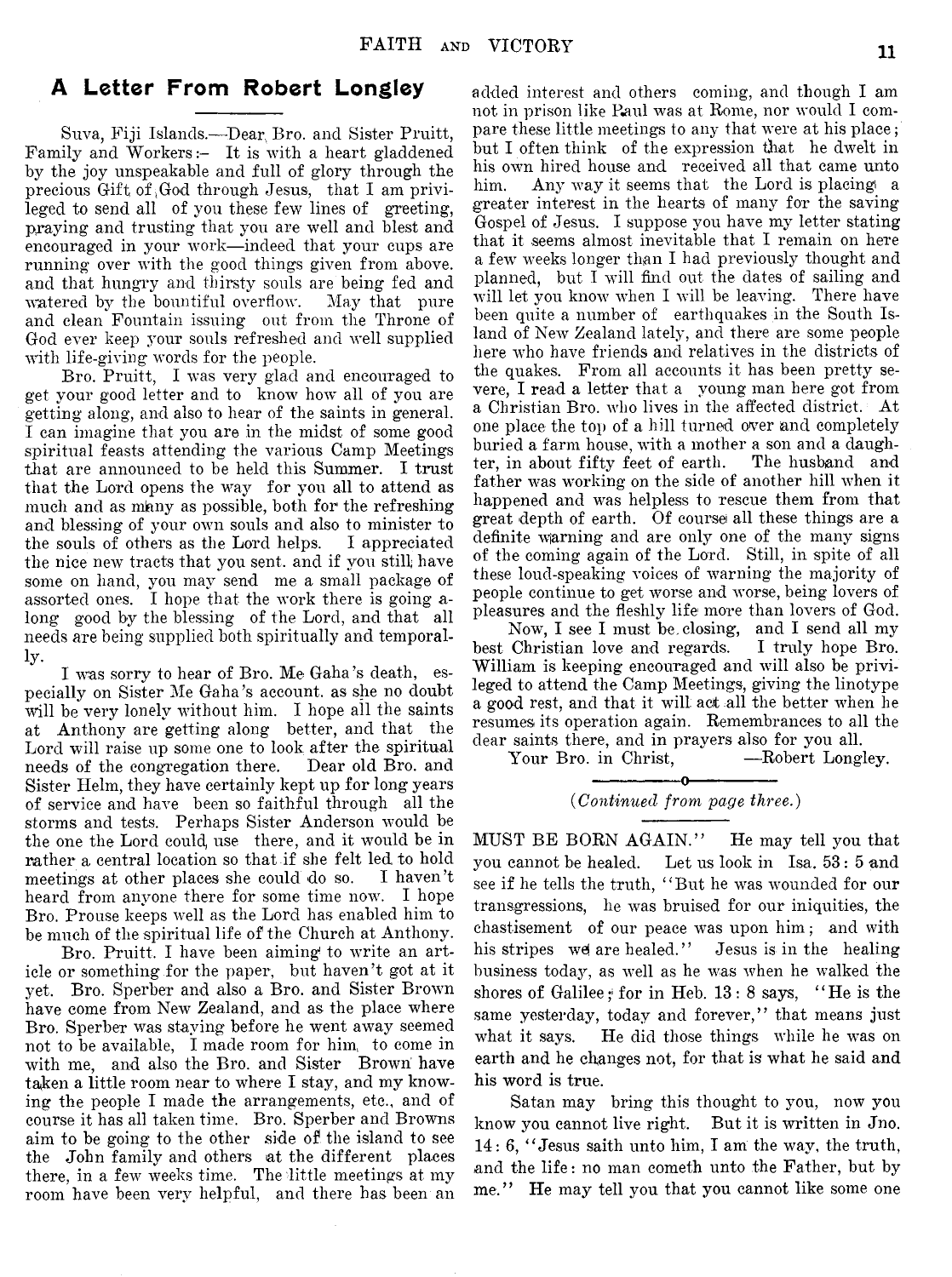# **A Letter From Robert Longley**

Suva, Fiji Islands,—Dear, Bro. and Sister Pruitt, Family and Workers: $-$  It is with a heart gladdened by the joy unspeakable and full of glory through the precious Gift of  $G$ od through Jesus, that I am privileged to send all of you these few lines of greeting, praying and trusting that you are well and blest and encouraged in your work— indeed that your cups are running over with the good things given from above, and that hungry and thirsty souls are being fed and watered by the bountiful overflow. May that pure and clean Fountain issuing out from the Throne of God ever keep your souls refreshed and well supplied with life-giving words for the people.

Bro. Pruitt, I was very glad and encouraged to get your good letter and to know how all of you are getting along, and also to hear of the saints in general. I can imagine that you are in the midst of some good spiritual feasts attending the various Camp Meetings that are announced to be held this Summer. I trust that the Lord opens the way for you all to attend as much and as many as possible, both for the refreshing and blessing of your own souls and also to minister to the souls of others as the Lord helps. I appreciated the nice new tracts that you sent, and if you still have some on hand, you may send me a small package of assorted ones. I hope that the work there is going along good by the blessing of the Lord, and that all needs are being supplied both spiritually and temporally.

I was sorry to hear of Bro. Me Gaha's death, especially on Sister Me Gaha's account, as she no doubt will be very lonely without him. I hope all the saints at Anthony are getting along better, and that the Lord will raise up some one to look after the spiritual needs of the congregation there. Dear old Bro. and Sister Helm, they have certainly kept up for long years of service and have been so faithful through all the storms and tests. Perhaps Sister Anderson would be the one the Lord could, use there, and it would be in rather a central location so that if she felt led to hold meetings at other places she could do so. I haven't heard from anyone there for some time now. I hope Bro. Prouse keeps well as the Lord has enabled him to be much of the spiritual life of the Church at Anthony.

Bro. Pruitt. I have been aiming to write an article or something for the paper, but haven't got at it yet. Bro. Sperber and also a Bro. and Sister Brown have come from New Zealand, and as the place where Bro. Sperber was staying before he went away seemed not to be available, I made room for him, to come in with me, and also the Bro. and Sister Brown have taken a little room near to where I stay, and my knowing the people I made the arrangements, etc., and of course it has all taken time. Bro. Sperber and Browns aim to be going to the other side of the island to see the John family and others at the different places there, in a few weeks time. The little meetings at my room have been very helpful, and there has been an

added interest and others coming, and though I am not in prison like Paul was at Rome, nor would I compare these little meetings to any that were at his place; but I often think of the expression that he dwelt in his own hired house and received all that came unto him. Any way it seems that the Lord is placing a greater interest in the hearts of many for the saving Gospel of Jesus. I suppose you have my letter stating that it seems almost inevitable that I remain on here a few weeks longer than I had previously thought and planned, but I will find out the dates of sailing and will let you know when I will be leaving. There have been quite a number of earthquakes in the South Island of New Zealand lately, and there are some people here who have friends and relatives in the districts of the quakes. From all accounts it has been pretty severe, I read a letter that a young man here got from a Christian Bro. who lives in the affected district. At one place the top of a hill turned over and completely buried a farm house, with a mother a son and a daughter, in about fifty feet of earth. The husband and father was working on the side of another hill when it happened and was helpless to rescue them from that great depth of earth. Of course all these things are a definite warning and are only one of the many signs of the coming again of the Lord. Still, in spite of all these loud-speaking voices of warning the majority of people continue to get worse and worse, being lovers of pleasures and the fleshly life more than lovers of God.

Now, I see I must be. closing, and I send all my best Christian love and regards. I truly hope Bro. William is keeping encouraged and will also be privileged to attend the Camp Meetings, giving the linotype a good rest, and that it will act all the better when he resumes its operation again. Remembrances to all the dear saints there, and in prayers also for you all.<br>Your Bro. in Christ, ---Robert Longley.

Your Bro. in Christ,

-----------------o---------------- *(Continued from page three.)*

MUST BE BORN AGAIN." He may tell you that you cannot be healed. Let us look in Isa. 53 : 5 and see if he tells the truth, " But he was wounded for our transgressions, he was bruised for our iniquities, the chastisement of our peace was upon him; and with his stripes wd are healed." Jesus is in the healing business today, as well as he was when he walked the shores of Galilee; for in Heb. 13: 8 says, *''* He is the same yesterday, today and forever," that means just what it says. He did those things while he was on earth and he changes not, for that is what he said and his word is true.

Satan may bring this thought to you, now you know you cannot live right. But it is written in Jno. 14: 6, " Jesus saith unto him, I am the wav, the truth, and the life : no man cometh unto the Father, but by me." He may tell you that you cannot like some one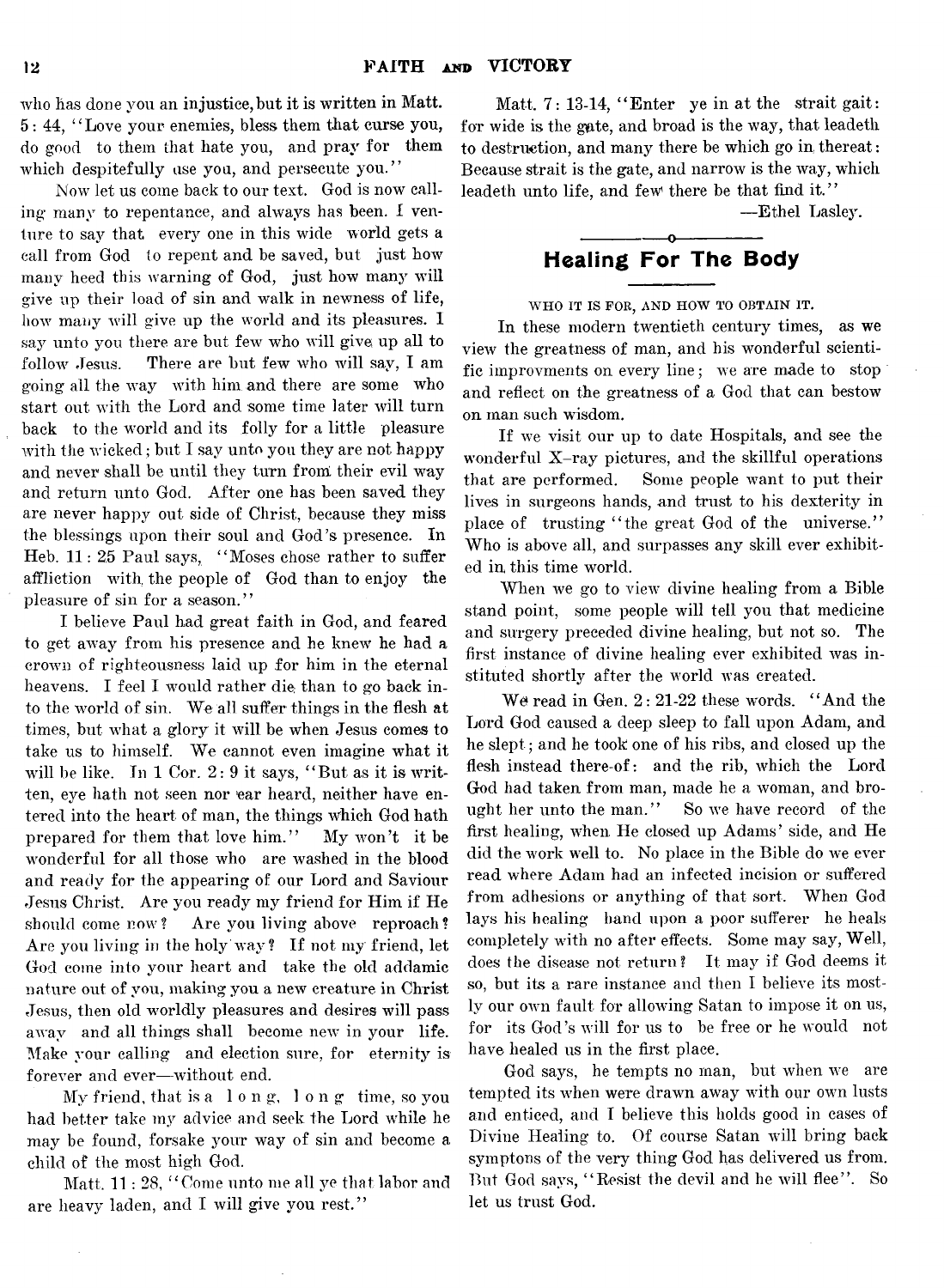who has done you an injustice, but it is written in Matt. 5 : 44, *' 1* Love your enemies, bless them that curse you, do good to them that hate you, and pray for them which despitefully use you, and persecute you."

Now let us come back to our text. God is now calling many to repentance, and always has been. I venture to say that every one in this wide world gets a call from God to repent and be saved, but just how many heed this warning of God, just how many will give up their load of sin and walk in newness of life, how many will give up the world and its pleasures. I say unto you there are but few who will give up all to follow Jesus. There are but few who will say, I am going all the way with him and there are some who start out with the Lord and some time later will turn back to the world and its folly for a little pleasure with the wicked; but I say unto you they are not happy and never shall be until they turn from their evil way and return unto God. After one has been saved they are never happy out side of Christ, because they miss the blessings upon their soul and God's presence. In Heb.  $11: 25$  Paul says, "Moses chose rather to suffer affliction with, the people of God than to enjoy the pleasure of sin for a season."

I believe Paul had great faith in God, and feared to get away from his presence and he knew he had a crown of righteousness laid up for him in the eternal heavens. I feel I would rather die than to go back into the world of sin. We all suffer things in the flesh at times, but what a glory it will be when Jesus comes to take us to himself. We cannot even imagine what it will be like. In  $1$  Cor.  $2: 9$  it says, "But as it is written, eve hath not seen nor ear heard, neither have entered into the heart of man, the things which God hath prepared for them that love him." My won't it be wonderful for all those who are washed in the blood and ready for the appearing of our Lord and Saviour Jesus Christ. Are you ready my friend for Him if He should come now? Are you living above reproach? Are you living in the holy way? If not my friend, let God come into your heart and take the old addamic nature out of you, making you a new creature in Christ Jesus, then old worldly pleasures and desires will pass away and all things shall become new in your life. Make your calling and election sure, for eternity is forever and ever—without end.

My friend, that is a I o n g, long time, so you had better take my advice and seek the Lord while he may be found, forsake your way of sin and become a child of the most high God.

Matt, 11 : 28, " Come unto me all ye that labor and are heavy laden, and I will give you rest."

Matt. 7: 13-14, " Enter ye in at the strait gait: for wide is the gate, and broad is the way, that leadeth to destruction, and many there be which go in thereat: Because strait is the gate, and narrow is the way, which leadeth unto life, and few there be that find it."

— Ethel Lasley.

# -----------------o---------------- **Healing For The Body**

WHO IT IS FOR, AND HOW TO OBTAIN IT.

In these modern twentieth century times, as we view the greatness of man, and his wonderful scientific improvments on every line; we are made to stop and reflect on the greatness of a God that can bestow on man such wisdom.

If we visit our up to date Hospitals, and see the wonderful X-ray pictures, and the skillful operations that are performed. Some people want to put their lives in surgeons hands, and trust to his dexterity in place of trusting "the great God of the universe." Who is above all, and surpasses any skill ever exhibited in this time world.

When we go to view divine healing from a Bible stand point, some people will tell you that medicine and surgery preceded divine healing, but not so. The first instance of divine healing ever exhibited was instituted shortly after the world was created.

We read in Gen. 2: 21-22 these words. "And the Lord God caused a deep sleep to fall upon Adam, and he slept; and he took one of his ribs, and closed up the flesh instead there-of: and the rib, which the Lord God had taken from man, made he a woman, and brought her unto the man." So we have record of the first healing, when He closed up Adams' side, and He did the work well to. No place in the Bible do we ever read where Adam had an infected incision or suffered from adhesions or anything of that sort. When God lays his healing hand upon a poor sufferer he heals completely with no after effects. Some may say, Well, does the disease not return? It may if God deems it so, but its a rare instance and then I believe its mostly our own fault for allowing Satan to impose it on us, for its God's wrill for us to be free or he would not have healed us in the first place.

God says, he tempts no man, but when we are tempted its when were drawn away with our own lusts and enticed, and I believe this holds good in cases of Divine Healing to. Of course Satan will bring back symptons of the very thing God has delivered us from. But God says, "Resist the devil and he will flee". So let us trust God.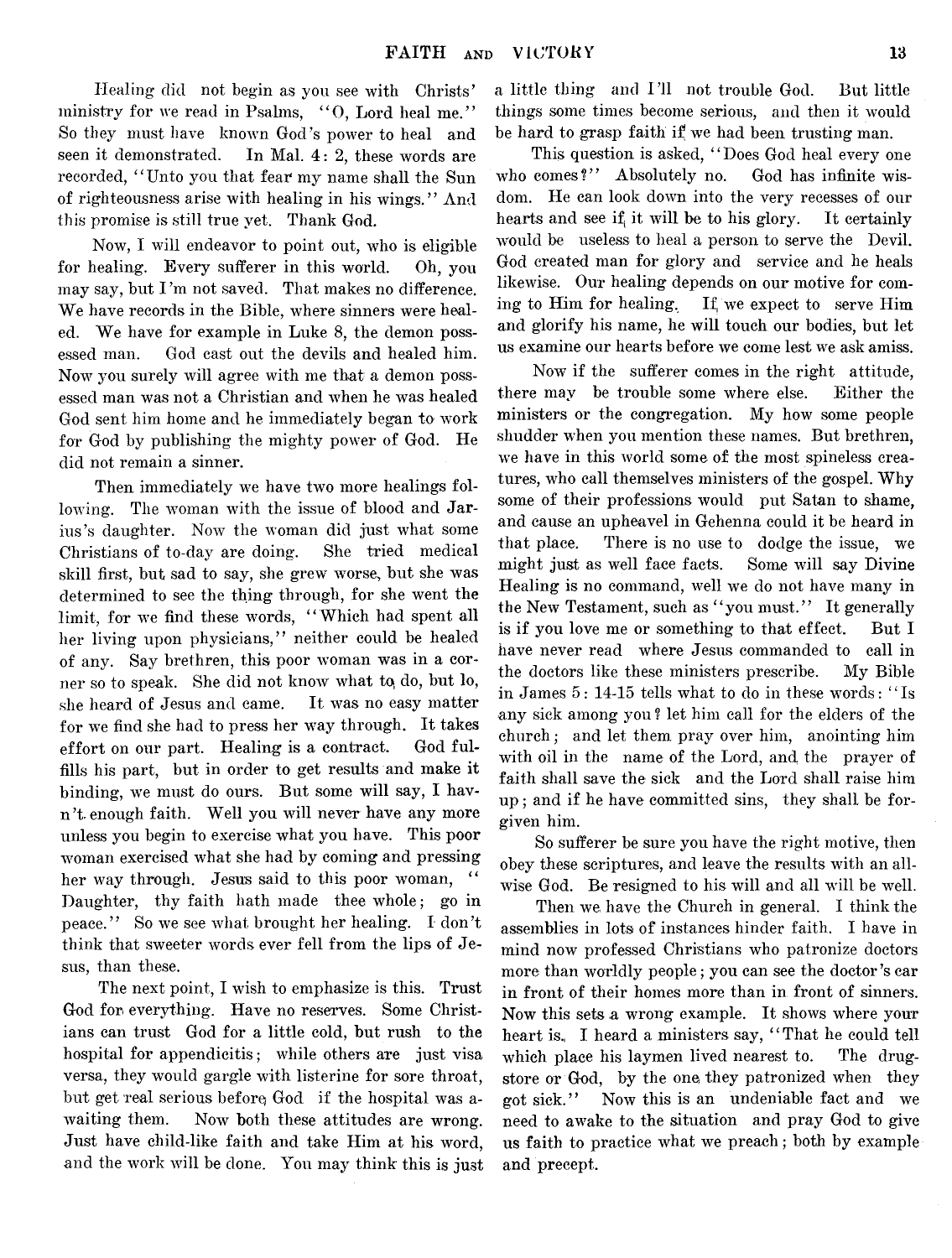Healing did not begin as you see with Christs' ministry for we read in Psalms, "O, Lord heal me." So they must have known God's power to heal and seen it demonstrated. In Mal. 4: 2, these words are recorded, " Unto you that fear my name shall the Sun of righteousness arise with healing in his wings." And this promise is still true yet. Thank God.

Now, I will endeavor to point out, who is eligible for healing. Every sufferer in this world. Oh, you may say, but I'm not saved. That makes no difference. We have records in the Bible, where sinners were healed. We have for example in Luke 8, the demon possessed man. God cast out the devils and healed him. Now you surely will agree with me that a demon possessed man was not a Christian and when he was healed God sent him home and he immediately began to work for God by publishing the mighty power of God. He did not remain a sinner.

Then immediately we have two more healings following. The woman with the issue of blood and Jarius's daughter. Now the woman did just what some Christians of to-day are doing. She tried medical skill first, but sad to say, she grew worse, but she was determined to see the thing through, for she went the limit, for we find these words, " Which had spent all her living upon physicians," neither could be healed of any. Say brethren, this poor woman was in a corner so to speak. She did not know what to, do, but lo, she heard of Jesus and came. It was no easy matter for we find she had to press her way through. It takes effort on our part. Healing is a contract. God fulfills his part, but in order to get results and make it binding, we must do ours. But some will say, I havn 't. enough faith. Well you will never have any more unless you begin to exercise what you have. This poor woman exercised what she had by coming and pressing her way through. Jesus said to this poor woman, Daughter, thy faith hath made thee whole; go in peace." So we see what brought her healing. I don't think that sweeter words ever fell from the lips of Jesus, than these.

The next point, I wish to emphasize is this. Trust God for everything. Have no reserves. Some Christians can trust God for a little cold, but rush to the hospital for appendicitis; while others are just visa versa, they would gargle with listerine for sore throat, but get real serious before God if the hospital was awaiting them. Now both these attitudes are wrong. Just have child-like faith and take Him at his word, and the work will be done. You may think this is just

a little thing and I'll not trouble God. But little things some times become serious, and then it would be hard to grasp faith if we had been trusting man.

This question is asked, "Does God heal every one who comes?" Absolutely no. God has infinite wisdom. He can look down into the very recesses of our hearts and see if, it will be to his glory. It certainly would be useless to heal a person to serve the Devil. God created man for glory and service and he heals likewise. Our healing depends on our motive for coming to Him for healing. If, we expect to serve Him and glorify his name, he will touch our bodies, but let us examine our hearts before we come lest we ask amiss.

Now if the sufferer comes in the right attitude, there may be trouble some where else. Either the ministers or the congregation. My how some people shudder when you mention these names. But brethren, we have in this world some of the most spineless creatures, who call themselves ministers of the gospel. Why some of their professions would put Satan to shame, and cause an upheavel in Gehenna could it be heard in that place. There is no use to dodge the issue, we might just as well face facts. Some will say Divine Healing is no command, well we do not have many in the New Testament, such as "you must." It generally is if you love me or something to that effect. But I have never read where Jesus commanded to call in the doctors like these ministers prescribe. My Bible in James 5: 14-15 tells what to do in these words: " Is any sick among you ? let him call for the elders of the church; and let them pray over him, anointing him with oil in the name of the Lord, and the prayer of faith shall save the sick and the Lord shall raise him up; and if he have committed sins, they shall be forgiven him.

So sufferer be sure you have the right motive, then obey these scriptures, and leave the results with an allwise God. Be resigned to his will and all will be well.

Then we, have the Church in general. I think the assemblies in lots of instances hinder faith. I have in mind now professed Christians who patronize doctors more than worldly people; you can see the doctor's ear in front of their homes more than in front of sinners. Now this sets a wrong example. It shows where your heart is. I heard a ministers say, "That he could tell which place his laymen lived nearest to. The drugstore or God, by the one they patronized when they got sick." Now this is an undeniable fact and we need to awake to the situation and pray God to give us faith to practice what we preach; both by example and precept.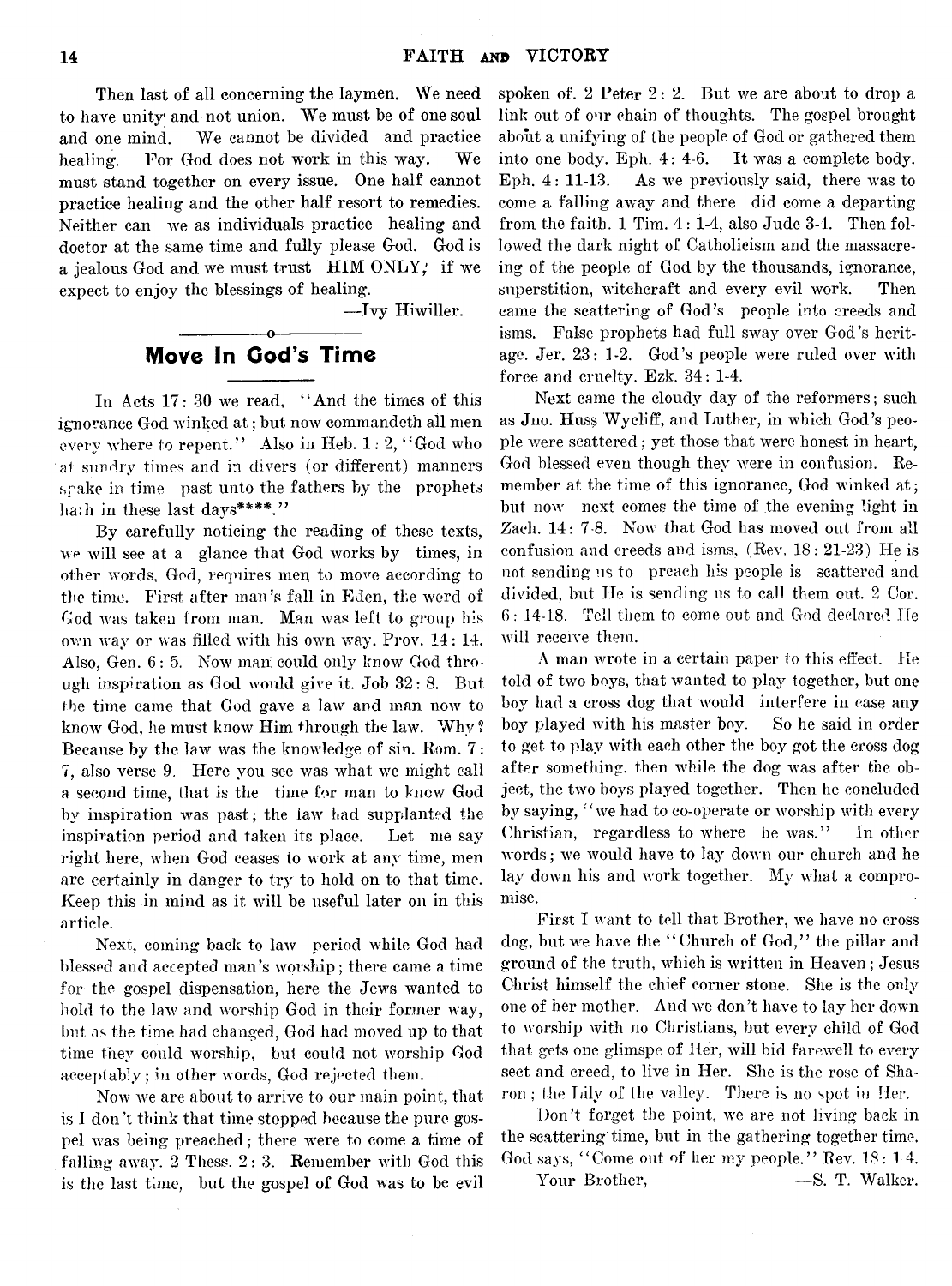Then last of all concerning the laymen. We need to have unity and not union. We must be of one soul and one mind. We cannot be divided and practice healing. For God does not work in this way. We must stand together on every issue. One half cannot practice healing and the other half resort to remedies. Neither can we as individuals practice healing and doctor at the same time and fully please God. God is a jealous God and we must trust HIM ONLY; if we expect to enjoy the blessings of healing.

— Ivy Hiwiller.

# ---------------- o----------------- **Move In Cod's Time**

In Acts 17: 30 we read, " And the times of this ignorance God winked at: but now commandeth all men every where to repent." Also in Heb.  $1: 2,$  "God who at sundry times and in divers (or different) manners spake in time past unto the fathers by the prophets hath in these last days\*\*\*\*."

By carefully noticing the reading of these texts, we will see at a glance that God works by times, in other words, God, requires men to move according to the time. First after man's fall in Eden, the word of God was taken from man. Man was left to group his own way or was filled with his own way. Prov. 14: 14. Also, Gen. 6: 5. Now man; could only know God through inspiration as God would give it. Job 32: 8. But the time came that God gave a law and man now to know God, he must know Him through the law. Why ? Because by the law was the knowledge of sin. Rom. 7: 7, also verse 9. Here you see was what we might call a second time, that is the time for man to know God by inspiration was past; the law had supplanted the inspiration period and taken its place. Let me say right here, when God ceases to work at any time, men are certainly in danger to try to hold on to that time. Keep this in mind as it will be useful later on in this article.

Next, coming back to law period while God had blessed and accepted man's worship; there came a time for the gospel dispensation, here the Jews wanted to hold to the law and worship God in their former way, but as the time had changed, God had moved up to that time they could worship, but could not worship God acceptably; in other words, God rejected them.

Now we are about to arrive to our main point, that is I don't think that time stopped because the pure gospel was being preached; there were to come a time of falling away. 2 Thess. 2: 3. Remember with God this is the last time, but the gospel of God was to be evil spoken of. 2 Peter 2: 2. But we are about to drop a link out of our chain of thoughts. The gospel brought about a unifying of the people of God or gathered them into one body. Eph. 4: 4-6. It was a complete body. Eph. 4: 11-13. As we previously said, there was to come a falling away and there did come a departing from the faith. 1 Tim. 4: 1-4, also Jude 3-4. Then followed the dark night of Catholicism and the massacreing of the people of God by the thousands, ignorance, superstition, witchcraft and every evil work. Then came the scattering of God's people into creeds and isms. False prophets had full sway over God's heritage. Jer. 23: 1-2. God's people were ruled over with force and cruelty. Ezk. 34: 1-4.

Next came the cloudy day of the reformers; such as Jno. Huss Wy cliff, and Luther, in which God's people were scattered; yet those that were honest in heart, God blessed even though they were in confusion. Remember at the time of this ignorance. God winked at: but now—next comes the time of the evening light in Zach. 14: 7-8. Now that God has moved out from all confusion and creeds and isms, (Rev, 18: 21-23) He is not sending us to preach his people is scattered and divided, but He is sending us to call them out. 2 Cor. 6: 14-18. Tell them to come out and God declared He will receive them.

A man wrote in a certain paper to this effect. He told of two boys, that wanted to play together, but one boy had a cross dog that would interfere in case any boy played with his master boy. So he said in order to get to play with each other the boy got the cross dog after something, then while the dog was after the object, the two boys played together. Then he concluded by saying, " we had to co-operate or worship with every Christian, regardless to where he was." In other words; we would have to lay down our church and he lay down his and work together. My what a compromise.

First I want to tell that Brother, we have no cross dog, but we have the "Church of God," the pillar and ground of the truth, which is written in Heaven; Jesus Christ himself the chief corner stone. She is the only one of her mother. Aud we don't have to lay her down to worship with no Christians, but every child of God that gets one glimspe of Her, will bid farewell to every sect and creed, to live in Her. She is the rose of Sharon ; the Lily of the valley. There is no spot in Her.

Don't forget the point, we are not living back in the scattering time, but in the gathering together time. God says, " Come out of her my people." Rev. 18: 14.

Your Brother,  $-$ S. T. Walker.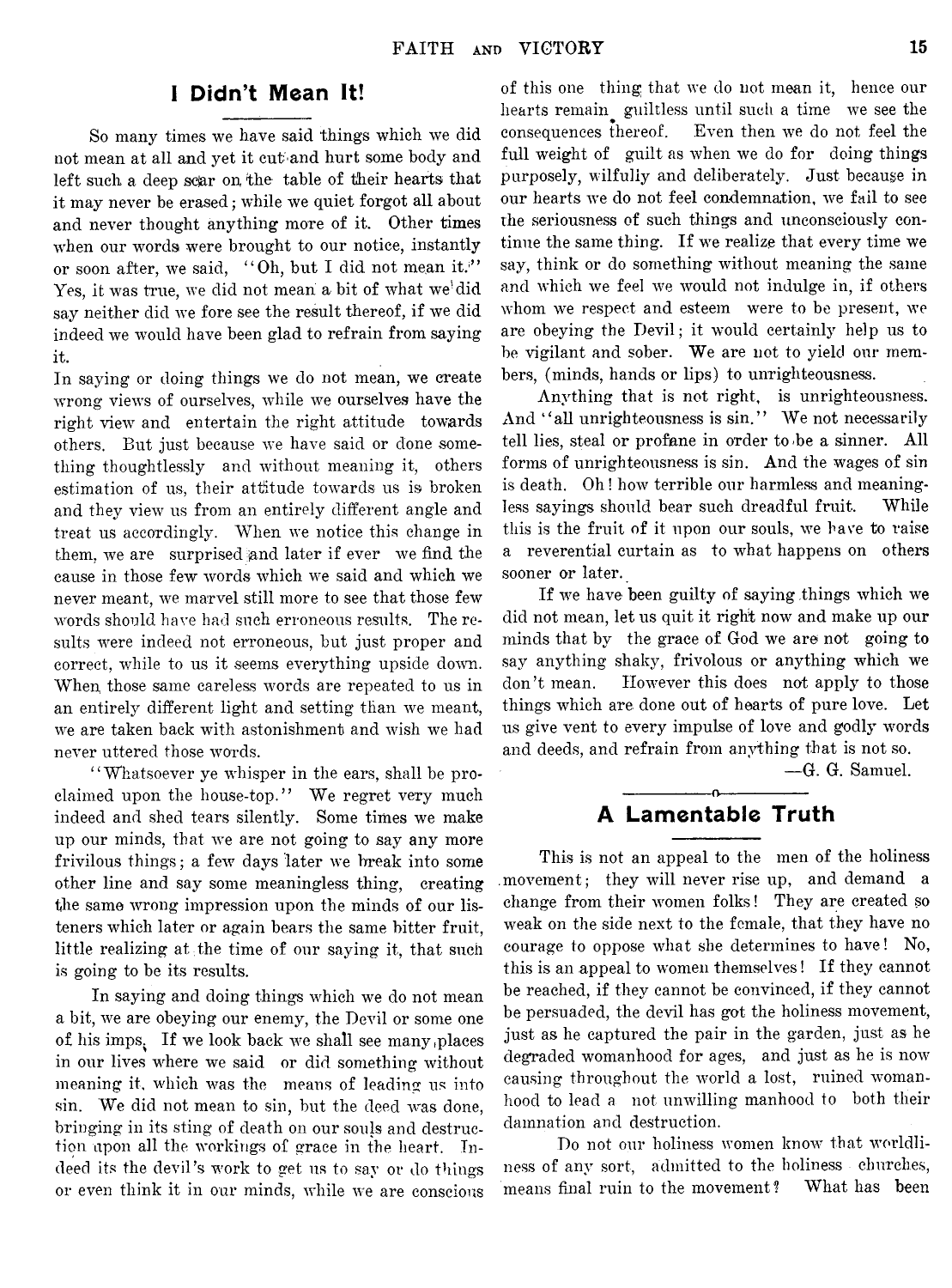# **1 Didn't Mean It!**

So many times we have said things which we did not mean at all and yet it cut and hurt some body and left such a deep scar on the table of their hearts that it may never be erased; while we quiet forgot all about and never thought anything more of it. Other times when our words were brought to our notice, instantly or soon after, we said, "Oh, but I did not mean it." Yes, it was true, we did not mean a bit of what we'did say neither did we fore see the result thereof, if we did indeed we would have been glad to refrain from saying it.

In saying or doing things we do not mean, we create wrong views of ourselves, while we ourselves have the right view and entertain the right attitude towards others. But just because we have said or done something thoughtlessly and without meaning it, others estimation of us, their attitude towards us is broken and they view us from an entirely different angle and treat us accordingly. When we notice this change in them, we are surprised jand later if ever we find the cause in those few words which we said and which we never meant, we marvel still more to see that those few words should have had such erroneous results. The results were indeed not erroneous, but just proper and correct, while to us it seems everything upside down. When, those same careless words are repeated to us in an entirely different light and setting than we meant, we are taken back with astonishment and wish we had never uttered those words.

" Whatsoever ye whisper in the ears, shall be proclaimed upon the house-top." We regret very much indeed and shed tears silently. Some times we make up our minds, that we are not going to say any more frivilous things; a few days later we break into some other line and say some meaningless thing, creating the same wrong impression upon the minds of our listeners which later or again bears the same bitter fruit, little realizing at the time of our saying it, that such is going to be its results.

In saying and doing things which we do not mean a bit, we are obeying our enemy, the Devil or some one of his imps. If we look back we shall see many .places in our lives where we said or did something without meaning it, which was the means of leading us into sin. We did not mean to sin, but the deed was done, bringing in its sting of death on our souls and destruction upon all the workings of grace in the heart. Indeed its the devil's work to get us to say or do things or even think it in our minds, while we are conscious

of this one thing that we do not mean it, hence our hearts remain guiltless until such a time we see the consequences thereof. Even then we do not feel the full weight of guilt as when we do for doing things purposely, wilfully and deliberately. Just because in our hearts we do not feel condemnation, we fail to see the seriousness of such things and unconsciously continue the same thing. If we realize that every time we say, think or do something without meaning the same and which we feel we would not indulge in, if others whom we respect and esteem were to be present, we are obeying the Devil; it would certainly help us to be vigilant and sober. We are not to yield our members, (minds, hands or lips) to unrighteousness.

Anything that is not right, is unrighteousness. And "all unrighteousness is sin." We not necessarily tell lies, steal or profane in order to *>be* a sinner. All forms of unrighteousness is sin. And the wages of sin is death. Oh! how terrible our harmless and meaningless sayings should bear such dreadful fruit. While this is the fruit of it upon our souls, we have to raise a reverential curtain as to what happens on others sooner or later.

If we have been guilty of saying things which we did not mean, let us quit it right now and make up our minds that by the grace of God we are not going to say anything shaky, frivolous or anything which we don't mean. However this does not apply to those things which are done out of hearts of pure love. Let us give vent to every impulse of love and godly words and deeds, and refrain from anything that is not so.

— G. G. Samuel.

# ---------------- o---------------- **A Lamentable Truth**

This is not an appeal to the men of the holiness .movement; they will never rise up, and demand a change from their women folks! They are created so weak on the side next to the female, that they have no courage to oppose what she determines to have! No, this is an appeal to women themselves! If they cannot be reached, if they cannot be convinced, if they cannot be persuaded, the devil has got the holiness movement, just as he captured the pair in the garden, just as he degraded womanhood for ages, and just as he is now causing throughout the world a lost, ruined womanhood to lead a not unwilling manhood to both their damnation and destruction.

Do not our holiness women know that worldliness of any sort, admitted to the holiness churches, means final ruin to the movement? What has been